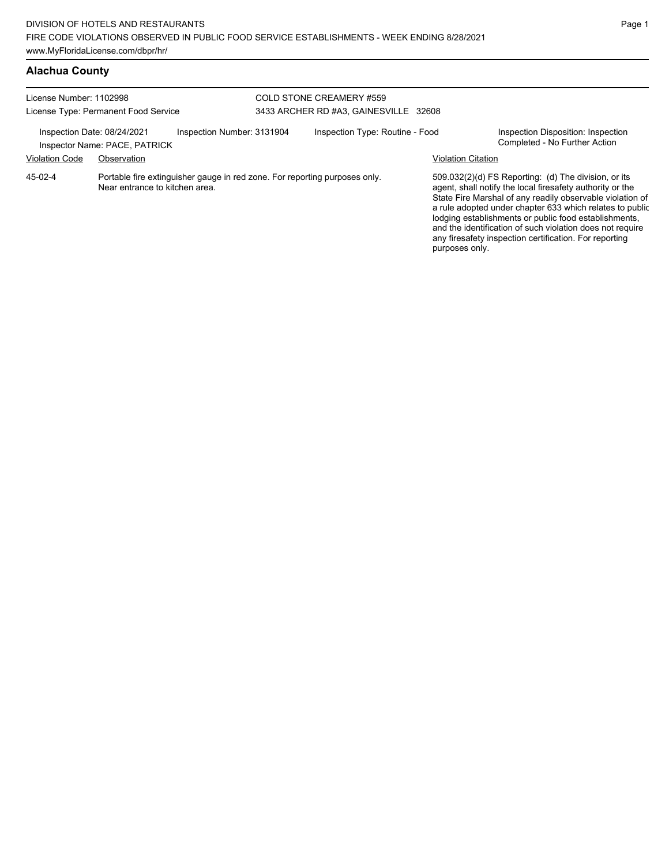## **Alachua County**

| License Number: 1102998                              | License Type: Permanent Food Service                                                                         | COLD STONE CREAMERY #559<br>3433 ARCHER RD #A3, GAINESVILLE 32608 |                           |                                                                                                                                                                                                                                                                                                                                                                                                                            |
|------------------------------------------------------|--------------------------------------------------------------------------------------------------------------|-------------------------------------------------------------------|---------------------------|----------------------------------------------------------------------------------------------------------------------------------------------------------------------------------------------------------------------------------------------------------------------------------------------------------------------------------------------------------------------------------------------------------------------------|
| Inspection Date: 08/24/2021<br><b>Violation Code</b> | Inspection Number: 3131904<br>Inspector Name: PACE, PATRICK<br>Observation                                   | Inspection Type: Routine - Food                                   | <b>Violation Citation</b> | Inspection Disposition: Inspection<br>Completed - No Further Action                                                                                                                                                                                                                                                                                                                                                        |
| 45-02-4                                              | Portable fire extinguisher gauge in red zone. For reporting purposes only.<br>Near entrance to kitchen area. |                                                                   | purposes only.            | 509.032(2)(d) FS Reporting: (d) The division, or its<br>agent, shall notify the local firesafety authority or the<br>State Fire Marshal of any readily observable violation of<br>a rule adopted under chapter 633 which relates to public<br>lodging establishments or public food establishments,<br>and the identification of such violation does not require<br>any firesafety inspection certification. For reporting |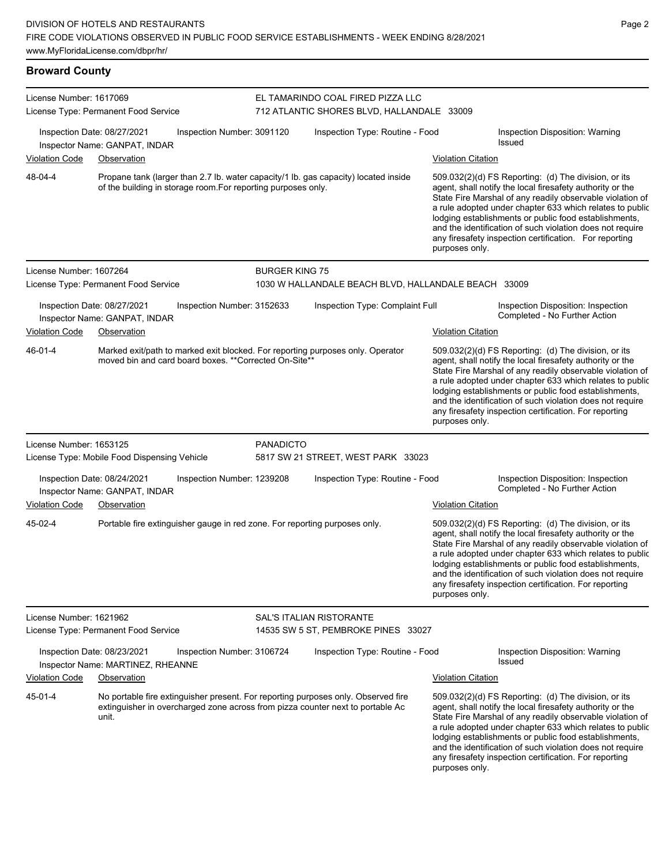Propane tank (larger than 2.7 lb. water capacity/1 lb. gas capacity) located inside

of the building in storage room.For reporting purposes only.

| <b>Broward County</b>                |                            |  |  |  |  |  |  |
|--------------------------------------|----------------------------|--|--|--|--|--|--|
| License Number: 1617069              | <b>EL TAMARIN</b>          |  |  |  |  |  |  |
| License Type: Permanent Food Service | 712 ATLANTI                |  |  |  |  |  |  |
| Inspection Date: 08/27/2021          | Inspection Number: 3091120 |  |  |  |  |  |  |

48-04-4

License Number: 1607264

# **IDO COAL FIRED PIZZA LLC** TC SHORES BLVD, HALLANDALE 33009

ection Number: 3091120 Inspection Type: Routine - Food Inspection Disposition: Warning Issued Inspector Name: GANPAT, INDAR

#### Violation Code Observation **Violation Code** Observation **Violation** Violation Citation Citation Citation Citation

509.032(2)(d) FS Reporting: (d) The division, or its agent, shall notify the local firesafety authority or the State Fire Marshal of any readily observable violation of a rule adopted under chapter 633 which relates to public lodging establishments or public food establishments, and the identification of such violation does not require any firesafety inspection certification. For reporting purposes only.

and the identification of such violation does not require any firesafety inspection certification. For reporting

purposes only.

#### License Type: Permanent Food Service 1030 W HALLANDALE BEACH BLVD, HALLANDALE BEACH 33009 Inspection Date: 08/27/2021 Inspection Number: 3152633 Inspection Type: Complaint Full Inspection Disposition: Inspection Inspector Name: GANPAT, INDAR **Inspector Name: GANPAT, INDAR** Violation Code Observation Violation Citation Marked exit/path to marked exit blocked. For reporting purposes only. Operator moved bin and card board boxes. \*\*Corrected On-Site\*\* 509.032(2)(d) FS Reporting: (d) The division, or its agent, shall notify the local firesafety authority or the State Fire Marshal of any readily observable violation of a rule adopted under chapter 633 which relates to public lodging establishments or public food establishments, and the identification of such violation does not require any firesafety inspection certification. For reporting 46-01-4

BURGER KING 75

purposes only. License Number: 1653125 License Type: Mobile Food Dispensing Vehicle PANADICTO 5817 SW 21 STREET, WEST PARK 33023 Inspection Date: 08/24/2021 Inspection Number: 1239208 Inspection Type: Routine - Food Inspection Disposition: Inspection Inspector Name: GANPAT, INDAR Violation Code Observation Violation Citation Portable fire extinguisher gauge in red zone. For reporting purposes only. 609.032(2)(d) FS Reporting: (d) The division, or its agent, shall notify the local firesafety authority or the State Fire Marshal of any readily observable violation of a rule adopted under chapter 633 which relates to public lodging establishments or public food establishments, and the identification of such violation does not require any firesafety inspection certification. For reporting purposes only. 45-02-4 License Number: 1621962 License Type: Permanent Food Service SAL'S ITALIAN RISTORANTE 14535 SW 5 ST, PEMBROKE PINES 33027 Inspection Date: 08/23/2021 Inspection Number: 3106724 Inspection Type: Routine - Food Inspection Disposition: Warning Issued Inspector Name: MARTINEZ, RHEANNE Violation Code Observation Violation Citation No portable fire extinguisher present. For reporting purposes only. Observed fire extinguisher in overcharged zone across from pizza counter next to portable Ac unit. 509.032(2)(d) FS Reporting: (d) The division, or its agent, shall notify the local firesafety authority or the State Fire Marshal of any readily observable violation of a rule adopted under chapter 633 which relates to public lodging establishments or public food establishments, 45-01-4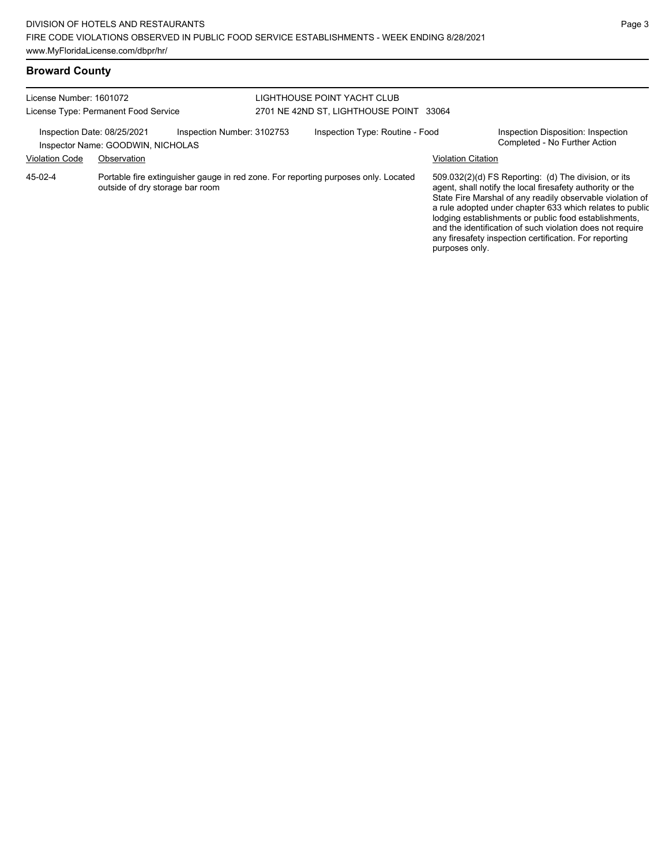## **Broward County**

| License Number: 1601072<br>License Type: Permanent Food Service                                                                  |             |  | LIGHTHOUSE POINT YACHT CLUB<br>2701 NE 42ND ST, LIGHTHOUSE POINT 33064 |                                                                                                                                                                                                                                                                                                                                                                                                                            |                                                                     |  |
|----------------------------------------------------------------------------------------------------------------------------------|-------------|--|------------------------------------------------------------------------|----------------------------------------------------------------------------------------------------------------------------------------------------------------------------------------------------------------------------------------------------------------------------------------------------------------------------------------------------------------------------------------------------------------------------|---------------------------------------------------------------------|--|
| Inspection Date: 08/25/2021<br>Inspection Number: 3102753<br>Inspector Name: GOODWIN, NICHOLAS                                   |             |  | Inspection Type: Routine - Food                                        |                                                                                                                                                                                                                                                                                                                                                                                                                            | Inspection Disposition: Inspection<br>Completed - No Further Action |  |
| <b>Violation Code</b>                                                                                                            | Observation |  |                                                                        |                                                                                                                                                                                                                                                                                                                                                                                                                            | <b>Violation Citation</b>                                           |  |
| Portable fire extinguisher gauge in red zone. For reporting purposes only. Located<br>45-02-4<br>outside of dry storage bar room |             |  |                                                                        | 509.032(2)(d) FS Reporting: (d) The division, or its<br>agent, shall notify the local firesafety authority or the<br>State Fire Marshal of any readily observable violation of<br>a rule adopted under chapter 633 which relates to public<br>lodging establishments or public food establishments,<br>and the identification of such violation does not require<br>any firesafety inspection certification. For reporting |                                                                     |  |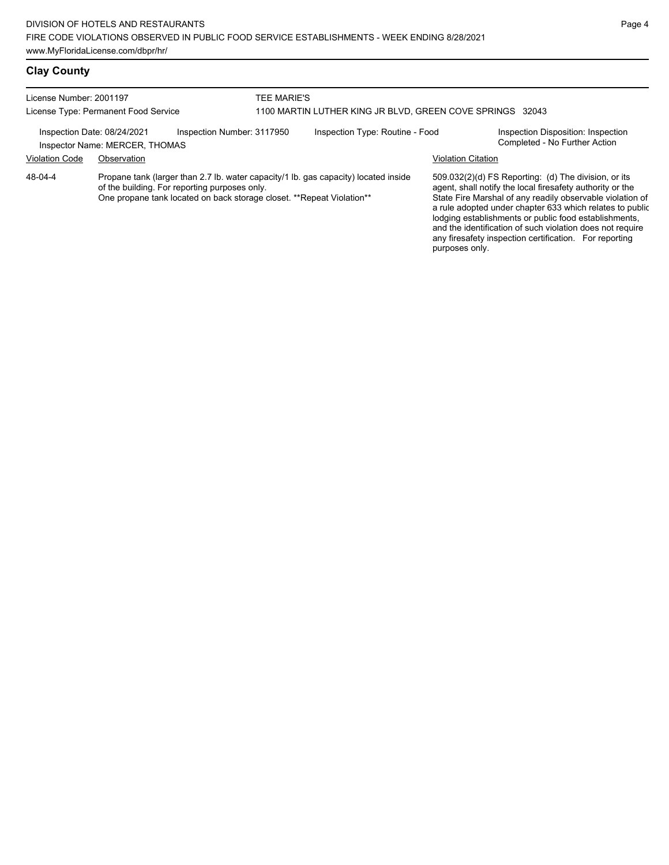## **Clay County**

| License Number: 2001197<br>License Type: Permanent Food Service                                                                                                                                                          |             |  | TEE MARIE'S<br>1100 MARTIN LUTHER KING JR BLVD, GREEN COVE SPRINGS 32043 |                                                                                                                                                                                                                                                                                                                                                                  |                                                                     |  |  |
|--------------------------------------------------------------------------------------------------------------------------------------------------------------------------------------------------------------------------|-------------|--|--------------------------------------------------------------------------|------------------------------------------------------------------------------------------------------------------------------------------------------------------------------------------------------------------------------------------------------------------------------------------------------------------------------------------------------------------|---------------------------------------------------------------------|--|--|
| Inspection Number: 3117950<br>Inspection Date: 08/24/2021<br>Inspector Name: MERCER, THOMAS                                                                                                                              |             |  | Inspection Type: Routine - Food                                          |                                                                                                                                                                                                                                                                                                                                                                  | Inspection Disposition: Inspection<br>Completed - No Further Action |  |  |
| <b>Violation Code</b>                                                                                                                                                                                                    | Observation |  |                                                                          |                                                                                                                                                                                                                                                                                                                                                                  | <b>Violation Citation</b>                                           |  |  |
| Propane tank (larger than 2.7 lb. water capacity/1 lb. gas capacity) located inside<br>48-04-4<br>of the building. For reporting purposes only.<br>One propane tank located on back storage closet. **Repeat Violation** |             |  |                                                                          | 509.032(2)(d) FS Reporting: (d) The division, or its<br>agent, shall notify the local firesafety authority or the<br>State Fire Marshal of any readily observable violation of<br>a rule adopted under chapter 633 which relates to public<br>lodging establishments or public food establishments,<br>and the identification of such violation does not require |                                                                     |  |  |

any firesafety inspection certification. For reporting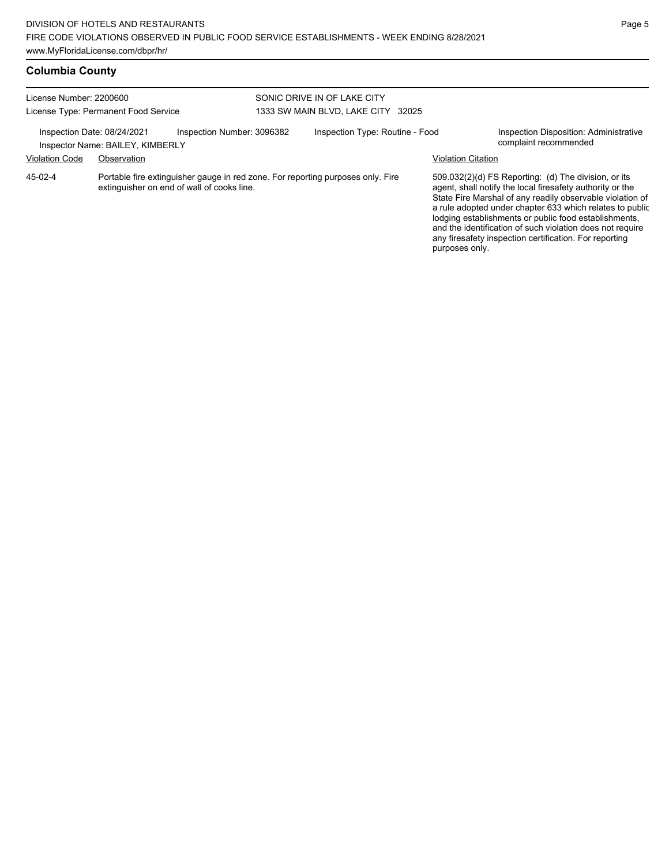## **Columbia County**

| License Number: 2200600<br>License Type: Permanent Food Service                                                                            |             |  | SONIC DRIVE IN OF LAKE CITY<br>1333 SW MAIN BLVD, LAKE CITY 32025 |                                                                                                                                                                                                                                                                                                                                                                  |                                                                 |  |
|--------------------------------------------------------------------------------------------------------------------------------------------|-------------|--|-------------------------------------------------------------------|------------------------------------------------------------------------------------------------------------------------------------------------------------------------------------------------------------------------------------------------------------------------------------------------------------------------------------------------------------------|-----------------------------------------------------------------|--|
| Inspection Date: 08/24/2021<br>Inspection Number: 3096382<br>Inspector Name: BAILEY, KIMBERLY                                              |             |  | Inspection Type: Routine - Food                                   |                                                                                                                                                                                                                                                                                                                                                                  | Inspection Disposition: Administrative<br>complaint recommended |  |
| <b>Violation Code</b>                                                                                                                      | Observation |  |                                                                   |                                                                                                                                                                                                                                                                                                                                                                  | <b>Violation Citation</b>                                       |  |
| Portable fire extinguisher gauge in red zone. For reporting purposes only. Fire<br>$45-02-4$<br>extinguisher on end of wall of cooks line. |             |  |                                                                   | 509.032(2)(d) FS Reporting: (d) The division, or its<br>agent, shall notify the local firesafety authority or the<br>State Fire Marshal of any readily observable violation of<br>a rule adopted under chapter 633 which relates to public<br>lodging establishments or public food establishments,<br>and the identification of such violation does not require |                                                                 |  |

any firesafety inspection certification. For reporting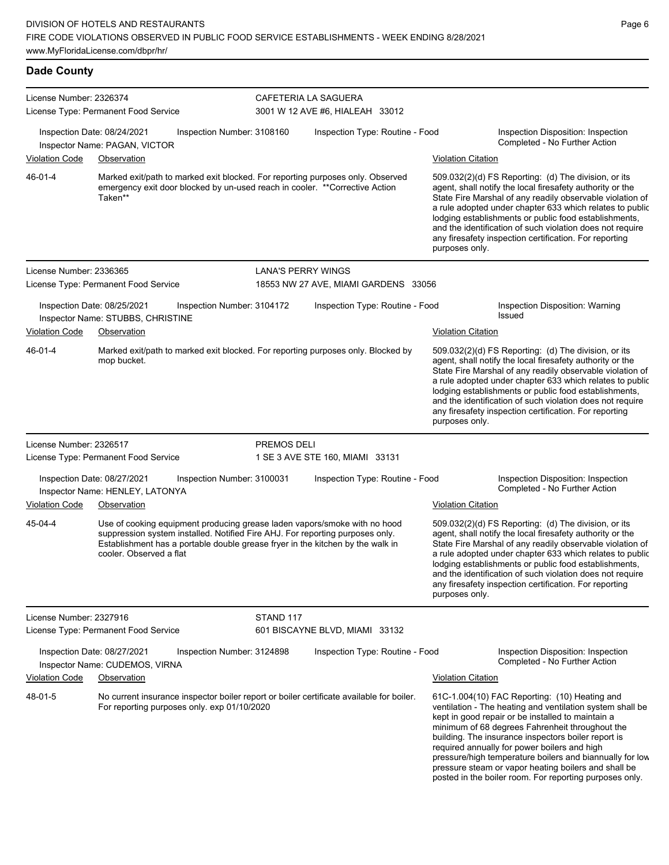| License Number: 2326374<br>License Type: Permanent Food Service |                                                                                                                                                                                                                                                                         |                            | CAFETERIA LA SAGUERA<br>3001 W 12 AVE #6, HIALEAH 33012 |                           |                                                                                                                                                                                                                                                                                                                                                                                                                                                                                                          |  |  |
|-----------------------------------------------------------------|-------------------------------------------------------------------------------------------------------------------------------------------------------------------------------------------------------------------------------------------------------------------------|----------------------------|---------------------------------------------------------|---------------------------|----------------------------------------------------------------------------------------------------------------------------------------------------------------------------------------------------------------------------------------------------------------------------------------------------------------------------------------------------------------------------------------------------------------------------------------------------------------------------------------------------------|--|--|
|                                                                 | Inspection Date: 08/24/2021<br>Inspector Name: PAGAN, VICTOR                                                                                                                                                                                                            | Inspection Number: 3108160 | Inspection Type: Routine - Food                         |                           | Inspection Disposition: Inspection<br>Completed - No Further Action                                                                                                                                                                                                                                                                                                                                                                                                                                      |  |  |
| Violation Code                                                  | Observation                                                                                                                                                                                                                                                             |                            |                                                         | <b>Violation Citation</b> |                                                                                                                                                                                                                                                                                                                                                                                                                                                                                                          |  |  |
| 46-01-4                                                         | Marked exit/path to marked exit blocked. For reporting purposes only. Observed<br>emergency exit door blocked by un-used reach in cooler. **Corrective Action<br>Taken**                                                                                                |                            |                                                         | purposes only.            | 509.032(2)(d) FS Reporting: (d) The division, or its<br>agent, shall notify the local firesafety authority or the<br>State Fire Marshal of any readily observable violation of<br>a rule adopted under chapter 633 which relates to public<br>lodging establishments or public food establishments,<br>and the identification of such violation does not require<br>any firesafety inspection certification. For reporting                                                                               |  |  |
| License Number: 2336365                                         |                                                                                                                                                                                                                                                                         |                            | <b>LANA'S PERRY WINGS</b>                               |                           |                                                                                                                                                                                                                                                                                                                                                                                                                                                                                                          |  |  |
|                                                                 | License Type: Permanent Food Service                                                                                                                                                                                                                                    |                            | 18553 NW 27 AVE, MIAMI GARDENS 33056                    |                           |                                                                                                                                                                                                                                                                                                                                                                                                                                                                                                          |  |  |
|                                                                 | Inspection Date: 08/25/2021<br>Inspector Name: STUBBS, CHRISTINE                                                                                                                                                                                                        | Inspection Number: 3104172 | Inspection Type: Routine - Food                         |                           | Inspection Disposition: Warning<br><b>Issued</b>                                                                                                                                                                                                                                                                                                                                                                                                                                                         |  |  |
| Violation Code                                                  | Observation                                                                                                                                                                                                                                                             |                            |                                                         | <b>Violation Citation</b> |                                                                                                                                                                                                                                                                                                                                                                                                                                                                                                          |  |  |
| $46 - 01 - 4$                                                   | Marked exit/path to marked exit blocked. For reporting purposes only. Blocked by<br>mop bucket.                                                                                                                                                                         |                            |                                                         | purposes only.            | 509.032(2)(d) FS Reporting: (d) The division, or its<br>agent, shall notify the local firesafety authority or the<br>State Fire Marshal of any readily observable violation of<br>a rule adopted under chapter 633 which relates to public<br>lodging establishments or public food establishments,<br>and the identification of such violation does not require<br>any firesafety inspection certification. For reporting                                                                               |  |  |
| License Number: 2326517                                         | License Type: Permanent Food Service                                                                                                                                                                                                                                    | PREMOS DELI                | 1 SE 3 AVE STE 160, MIAMI 33131                         |                           |                                                                                                                                                                                                                                                                                                                                                                                                                                                                                                          |  |  |
| <b>Violation Code</b>                                           | Inspection Date: 08/27/2021<br>Inspector Name: HENLEY, LATONYA<br>Observation                                                                                                                                                                                           | Inspection Number: 3100031 | Inspection Type: Routine - Food                         | <b>Violation Citation</b> | Inspection Disposition: Inspection<br>Completed - No Further Action                                                                                                                                                                                                                                                                                                                                                                                                                                      |  |  |
| 45-04-4                                                         | Use of cooking equipment producing grease laden vapors/smoke with no hood<br>suppression system installed. Notified Fire AHJ. For reporting purposes only.<br>Establishment has a portable double grease fryer in the kitchen by the walk in<br>cooler. Observed a flat |                            |                                                         | purposes only.            | 509.032(2)(d) FS Reporting: (d) The division, or its<br>agent, shall notify the local firesafety authority or the<br>State Fire Marshal of any readily observable violation of<br>a rule adopted under chapter 633 which relates to public<br>lodging establishments or public food establishments,<br>and the identification of such violation does not require<br>any firesafety inspection certification. For reporting                                                                               |  |  |
| License Number: 2327916                                         | License Type: Permanent Food Service                                                                                                                                                                                                                                    | STAND 117                  | 601 BISCAYNE BLVD, MIAMI 33132                          |                           |                                                                                                                                                                                                                                                                                                                                                                                                                                                                                                          |  |  |
|                                                                 | Inspection Date: 08/27/2021<br>Inspector Name: CUDEMOS, VIRNA                                                                                                                                                                                                           | Inspection Number: 3124898 | Inspection Type: Routine - Food                         |                           | Inspection Disposition: Inspection<br>Completed - No Further Action                                                                                                                                                                                                                                                                                                                                                                                                                                      |  |  |
| <b>Violation Code</b>                                           | <b>Observation</b>                                                                                                                                                                                                                                                      |                            |                                                         | <b>Violation Citation</b> |                                                                                                                                                                                                                                                                                                                                                                                                                                                                                                          |  |  |
| 48-01-5                                                         | No current insurance inspector boiler report or boiler certificate available for boiler.<br>For reporting purposes only. exp 01/10/2020                                                                                                                                 |                            |                                                         |                           | 61C-1.004(10) FAC Reporting: (10) Heating and<br>ventilation - The heating and ventilation system shall be<br>kept in good repair or be installed to maintain a<br>minimum of 68 degrees Fahrenheit throughout the<br>building. The insurance inspectors boiler report is<br>required annually for power boilers and high<br>pressure/high temperature boilers and biannually for low<br>pressure steam or vapor heating boilers and shall be<br>posted in the boiler room. For reporting purposes only. |  |  |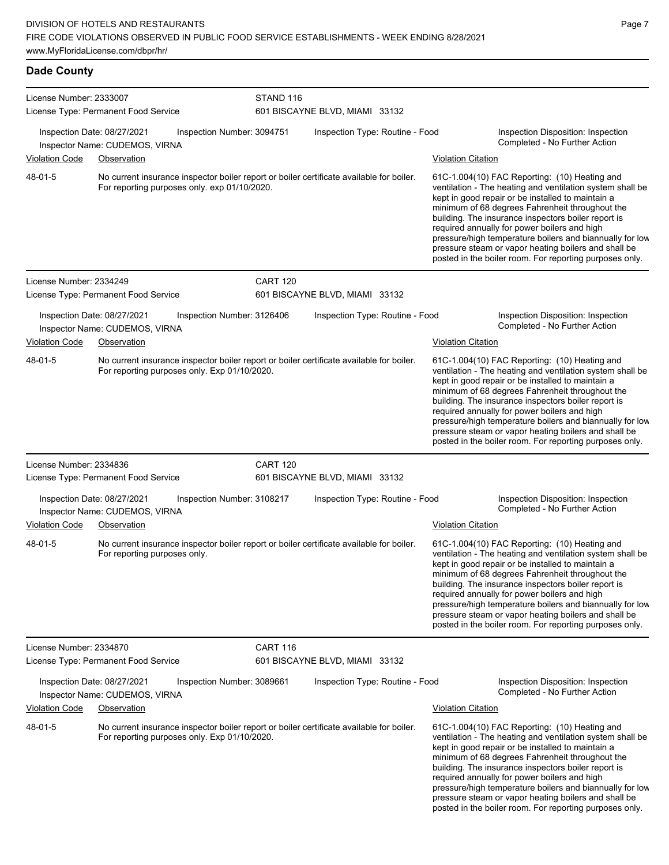**Dade County**

| License Number: 2333007 |                                                                                                                                          | STAND 116       |                                 |                           |                                                                                                                                                                                                                                                                                                                                                                                                                                                                                                          |
|-------------------------|------------------------------------------------------------------------------------------------------------------------------------------|-----------------|---------------------------------|---------------------------|----------------------------------------------------------------------------------------------------------------------------------------------------------------------------------------------------------------------------------------------------------------------------------------------------------------------------------------------------------------------------------------------------------------------------------------------------------------------------------------------------------|
|                         | License Type: Permanent Food Service                                                                                                     |                 | 601 BISCAYNE BLVD, MIAMI 33132  |                           |                                                                                                                                                                                                                                                                                                                                                                                                                                                                                                          |
|                         | Inspection Date: 08/27/2021<br>Inspection Number: 3094751<br>Inspector Name: CUDEMOS, VIRNA                                              |                 | Inspection Type: Routine - Food |                           | Inspection Disposition: Inspection<br>Completed - No Further Action                                                                                                                                                                                                                                                                                                                                                                                                                                      |
| <b>Violation Code</b>   | Observation                                                                                                                              |                 |                                 | <b>Violation Citation</b> |                                                                                                                                                                                                                                                                                                                                                                                                                                                                                                          |
| 48-01-5                 | No current insurance inspector boiler report or boiler certificate available for boiler.<br>For reporting purposes only. exp 01/10/2020. |                 |                                 |                           | 61C-1.004(10) FAC Reporting: (10) Heating and<br>ventilation - The heating and ventilation system shall be<br>kept in good repair or be installed to maintain a<br>minimum of 68 degrees Fahrenheit throughout the<br>building. The insurance inspectors boiler report is<br>required annually for power boilers and high<br>pressure/high temperature boilers and biannually for low<br>pressure steam or vapor heating boilers and shall be<br>posted in the boiler room. For reporting purposes only. |
| License Number: 2334249 |                                                                                                                                          | <b>CART 120</b> |                                 |                           |                                                                                                                                                                                                                                                                                                                                                                                                                                                                                                          |
|                         | License Type: Permanent Food Service                                                                                                     |                 | 601 BISCAYNE BLVD, MIAMI 33132  |                           |                                                                                                                                                                                                                                                                                                                                                                                                                                                                                                          |
|                         | Inspection Date: 08/27/2021<br>Inspection Number: 3126406<br>Inspector Name: CUDEMOS, VIRNA                                              |                 | Inspection Type: Routine - Food |                           | Inspection Disposition: Inspection<br>Completed - No Further Action                                                                                                                                                                                                                                                                                                                                                                                                                                      |
| <b>Violation Code</b>   | Observation                                                                                                                              |                 |                                 | <b>Violation Citation</b> |                                                                                                                                                                                                                                                                                                                                                                                                                                                                                                          |
| 48-01-5                 | No current insurance inspector boiler report or boiler certificate available for boiler.<br>For reporting purposes only. Exp 01/10/2020. |                 |                                 |                           | 61C-1.004(10) FAC Reporting: (10) Heating and<br>ventilation - The heating and ventilation system shall be<br>kept in good repair or be installed to maintain a<br>minimum of 68 degrees Fahrenheit throughout the<br>building. The insurance inspectors boiler report is<br>required annually for power boilers and high<br>pressure/high temperature boilers and biannually for low<br>pressure steam or vapor heating boilers and shall be<br>posted in the boiler room. For reporting purposes only. |
| License Number: 2334836 | License Type: Permanent Food Service                                                                                                     | <b>CART 120</b> | 601 BISCAYNE BLVD, MIAMI 33132  |                           |                                                                                                                                                                                                                                                                                                                                                                                                                                                                                                          |
|                         | Inspection Date: 08/27/2021<br>Inspection Number: 3108217<br>Inspector Name: CUDEMOS, VIRNA                                              |                 | Inspection Type: Routine - Food |                           | Inspection Disposition: Inspection<br>Completed - No Further Action                                                                                                                                                                                                                                                                                                                                                                                                                                      |
| Violation Code          | Observation                                                                                                                              |                 |                                 | <b>Violation Citation</b> |                                                                                                                                                                                                                                                                                                                                                                                                                                                                                                          |
| 48-01-5                 | No current insurance inspector boiler report or boiler certificate available for boiler.<br>For reporting purposes only.                 |                 |                                 |                           | 61C-1.004(10) FAC Reporting: (10) Heating and<br>ventilation - The heating and ventilation system shall be<br>kept in good repair or be installed to maintain a<br>minimum of 68 degrees Fahrenheit throughout the<br>building. The insurance inspectors boiler report is<br>required annually for power boilers and high<br>pressure/high temperature boilers and biannually for low<br>pressure steam or vapor heating boilers and shall be<br>posted in the boiler room. For reporting purposes only. |
| License Number: 2334870 | License Type: Permanent Food Service                                                                                                     | <b>CART 116</b> | 601 BISCAYNE BLVD, MIAMI 33132  |                           |                                                                                                                                                                                                                                                                                                                                                                                                                                                                                                          |
|                         | Inspection Date: 08/27/2021<br>Inspection Number: 3089661<br>Inspector Name: CUDEMOS, VIRNA                                              |                 | Inspection Type: Routine - Food |                           | Inspection Disposition: Inspection<br>Completed - No Further Action                                                                                                                                                                                                                                                                                                                                                                                                                                      |
| <b>Violation Code</b>   | Observation                                                                                                                              |                 |                                 | <b>Violation Citation</b> |                                                                                                                                                                                                                                                                                                                                                                                                                                                                                                          |
| 48-01-5                 | No current insurance inspector boiler report or boiler certificate available for boiler.<br>For reporting purposes only. Exp 01/10/2020. |                 |                                 |                           | 61C-1.004(10) FAC Reporting: (10) Heating and<br>ventilation - The heating and ventilation system shall be<br>kept in good repair or be installed to maintain a<br>minimum of 68 degrees Fahrenheit throughout the<br>building. The insurance inspectors boiler report is<br>required annually for power boilers and high<br>pressure/high temperature boilers and biannually for low<br>pressure steam or vapor heating boilers and shall be<br>posted in the boiler room. For reporting purposes only. |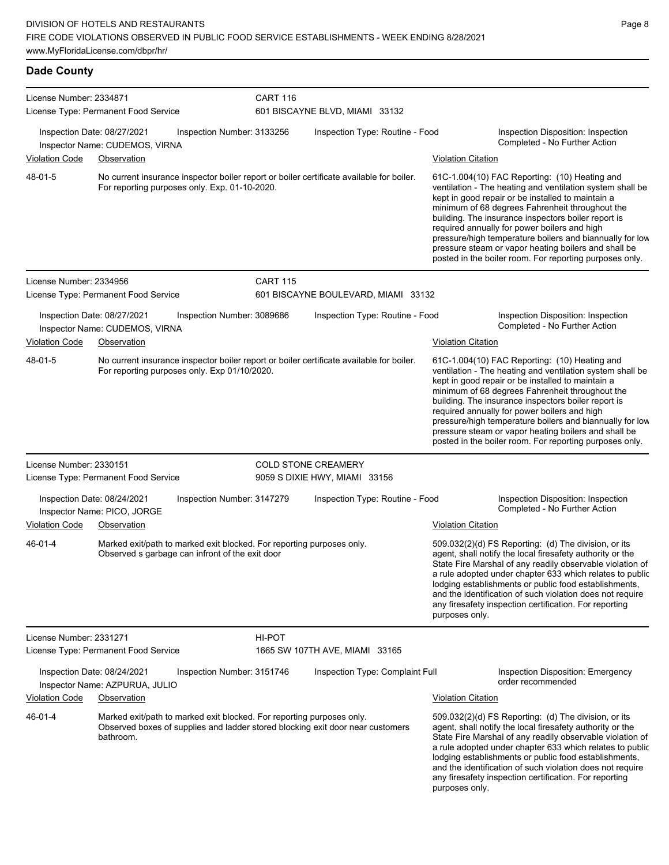License Number: 2334871 License Type: Permanent Food Service CART 116 601 BISCAYNE BLVD, MIAMI 33132 Inspection Date: 08/27/2021 Inspection Number: 3133256 Inspection Type: Routine - Food Inspection Disposition: Inspection Inspector Name: CUDEMOS, VIRNA Violation Code Observation Violation Citation No current insurance inspector boiler report or boiler certificate available for boiler. For reporting purposes only. Exp. 01-10-2020. 61C-1.004(10) FAC Reporting: (10) Heating and ventilation - The heating and ventilation system shall be kept in good repair or be installed to maintain a minimum of 68 degrees Fahrenheit throughout the building. The insurance inspectors boiler report is required annually for power boilers and high pressure/high temperature boilers and biannually for low pressure steam or vapor heating boilers and shall be posted in the boiler room. For reporting purposes only. 48-01-5 License Number: 2334956 License Type: Permanent Food Service CART 115 601 BISCAYNE BOULEVARD, MIAMI 33132 Inspection Date: 08/27/2021 Inspection Number: 3089686 Inspection Type: Routine - Food Inspection Disposition: Inspection Inspector Name: CUDEMOS, VIRNA Violation Code Observation Violation Citation No current insurance inspector boiler report or boiler certificate available for boiler. For reporting purposes only. Exp 01/10/2020. 61C-1.004(10) FAC Reporting: (10) Heating and ventilation - The heating and ventilation system shall be kept in good repair or be installed to maintain a minimum of 68 degrees Fahrenheit throughout the building. The insurance inspectors boiler report is required annually for power boilers and high pressure/high temperature boilers and biannually for low pressure steam or vapor heating boilers and shall be posted in the boiler room. For reporting purposes only. 48-01-5 License Number: 2330151 License Type: Permanent Food Service COLD STONE CREAMERY 9059 S DIXIE HWY, MIAMI 33156 Inspection Date: 08/24/2021 Inspection Number: 3147279 Inspection Type: Routine - Food Inspection Disposition: Inspection Inspector Name: PICO, JORGE **Inspector Name: PICO, IORGE** Violation Code Observation Violation Citation Marked exit/path to marked exit blocked. For reporting purposes only. Observed s garbage can infront of the exit door 509.032(2)(d) FS Reporting: (d) The division, or its agent, shall notify the local firesafety authority or the State Fire Marshal of any readily observable violation of a rule adopted under chapter 633 which relates to public 46-01-4

License Number: 2331271 License Type: Permanent Food Service

**Dade County**

HI-POT

1665 SW 107TH AVE, MIAMI 33165

Inspection Date: 08/24/2021 Inspection Number: 3151746 Inspection Type: Complaint Full Inspection Disposition: Emergency<br>Inspecter Name: AZPURLIA, JULIO

#### Inspector Name: AZPURUA, JULIO Violation Code Observation Violation Citation

Marked exit/path to marked exit blocked. For reporting purposes only. Observed boxes of supplies and ladder stored blocking exit door near customers bathroom. 46-01-4

509.032(2)(d) FS Reporting: (d) The division, or its agent, shall notify the local firesafety authority or the State Fire Marshal of any readily observable violation of a rule adopted under chapter 633 which relates to public lodging establishments or public food establishments, and the identification of such violation does not require any firesafety inspection certification. For reporting purposes only.

lodging establishments or public food establishments, and the identification of such violation does not require any firesafety inspection certification. For reporting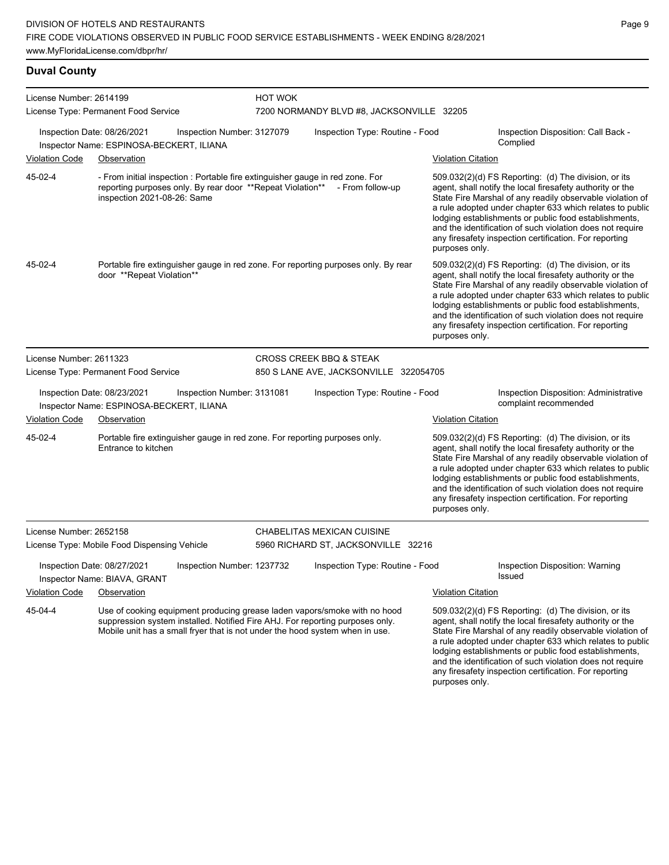## **Duval County**

| License Number: 2614199 |                                                                                                                                                                                                                                            | <b>HOT WOK</b> |                                           |                           |                                                                                                                                                                                                                                                                                                                                                                                                                            |
|-------------------------|--------------------------------------------------------------------------------------------------------------------------------------------------------------------------------------------------------------------------------------------|----------------|-------------------------------------------|---------------------------|----------------------------------------------------------------------------------------------------------------------------------------------------------------------------------------------------------------------------------------------------------------------------------------------------------------------------------------------------------------------------------------------------------------------------|
|                         | License Type: Permanent Food Service                                                                                                                                                                                                       |                | 7200 NORMANDY BLVD #8, JACKSONVILLE 32205 |                           |                                                                                                                                                                                                                                                                                                                                                                                                                            |
|                         | Inspection Date: 08/26/2021<br>Inspection Number: 3127079<br>Inspector Name: ESPINOSA-BECKERT, ILIANA                                                                                                                                      |                | Inspection Type: Routine - Food           |                           | Inspection Disposition: Call Back -<br>Complied                                                                                                                                                                                                                                                                                                                                                                            |
| <b>Violation Code</b>   | Observation                                                                                                                                                                                                                                |                |                                           | <b>Violation Citation</b> |                                                                                                                                                                                                                                                                                                                                                                                                                            |
| 45-02-4                 | - From initial inspection : Portable fire extinguisher gauge in red zone. For<br>reporting purposes only. By rear door **Repeat Violation** - From follow-up<br>inspection 2021-08-26: Same                                                |                |                                           | purposes only.            | 509.032(2)(d) FS Reporting: (d) The division, or its<br>agent, shall notify the local firesafety authority or the<br>State Fire Marshal of any readily observable violation of<br>a rule adopted under chapter 633 which relates to public<br>lodging establishments or public food establishments,<br>and the identification of such violation does not require<br>any firesafety inspection certification. For reporting |
| 45-02-4                 | Portable fire extinguisher gauge in red zone. For reporting purposes only. By rear<br>door **Repeat Violation**                                                                                                                            |                |                                           | purposes only.            | 509.032(2)(d) FS Reporting: (d) The division, or its<br>agent, shall notify the local firesafety authority or the<br>State Fire Marshal of any readily observable violation of<br>a rule adopted under chapter 633 which relates to public<br>lodging establishments or public food establishments,<br>and the identification of such violation does not require<br>any firesafety inspection certification. For reporting |
| License Number: 2611323 |                                                                                                                                                                                                                                            |                | <b>CROSS CREEK BBQ &amp; STEAK</b>        |                           |                                                                                                                                                                                                                                                                                                                                                                                                                            |
|                         | License Type: Permanent Food Service                                                                                                                                                                                                       |                | 850 S LANE AVE, JACKSONVILLE 322054705    |                           |                                                                                                                                                                                                                                                                                                                                                                                                                            |
|                         | Inspection Date: 08/23/2021<br>Inspection Number: 3131081<br>Inspector Name: ESPINOSA-BECKERT, ILIANA                                                                                                                                      |                | Inspection Type: Routine - Food           |                           | Inspection Disposition: Administrative<br>complaint recommended                                                                                                                                                                                                                                                                                                                                                            |
| <b>Violation Code</b>   | Observation                                                                                                                                                                                                                                |                |                                           | <b>Violation Citation</b> |                                                                                                                                                                                                                                                                                                                                                                                                                            |
| 45-02-4                 | Portable fire extinguisher gauge in red zone. For reporting purposes only.<br>Entrance to kitchen                                                                                                                                          |                |                                           | purposes only.            | 509.032(2)(d) FS Reporting: (d) The division, or its<br>agent, shall notify the local firesafety authority or the<br>State Fire Marshal of any readily observable violation of<br>a rule adopted under chapter 633 which relates to public<br>lodging establishments or public food establishments,<br>and the identification of such violation does not require<br>any firesafety inspection certification. For reporting |
| License Number: 2652158 |                                                                                                                                                                                                                                            |                | CHABELITAS MEXICAN CUISINE                |                           |                                                                                                                                                                                                                                                                                                                                                                                                                            |
|                         | License Type: Mobile Food Dispensing Vehicle                                                                                                                                                                                               |                | 5960 RICHARD ST, JACKSONVILLE 32216       |                           |                                                                                                                                                                                                                                                                                                                                                                                                                            |
|                         | Inspection Date: 08/27/2021<br>Inspection Number: 1237732<br>Inspector Name: BIAVA, GRANT                                                                                                                                                  |                | Inspection Type: Routine - Food           |                           | Inspection Disposition: Warning<br>Issued                                                                                                                                                                                                                                                                                                                                                                                  |
| <b>Violation Code</b>   | Observation                                                                                                                                                                                                                                |                |                                           | <b>Violation Citation</b> |                                                                                                                                                                                                                                                                                                                                                                                                                            |
| 45-04-4                 | Use of cooking equipment producing grease laden vapors/smoke with no hood<br>suppression system installed. Notified Fire AHJ. For reporting purposes only.<br>Mobile unit has a small fryer that is not under the hood system when in use. |                |                                           |                           | 509.032(2)(d) FS Reporting: (d) The division, or its<br>agent, shall notify the local firesafety authority or the<br>State Fire Marshal of any readily observable violation of<br>a rule adopted under chapter 633 which relates to public<br>lodging establishments or public food establishments,<br>and the identification of such violation does not require<br>any firesafety inspection certification. For reporting |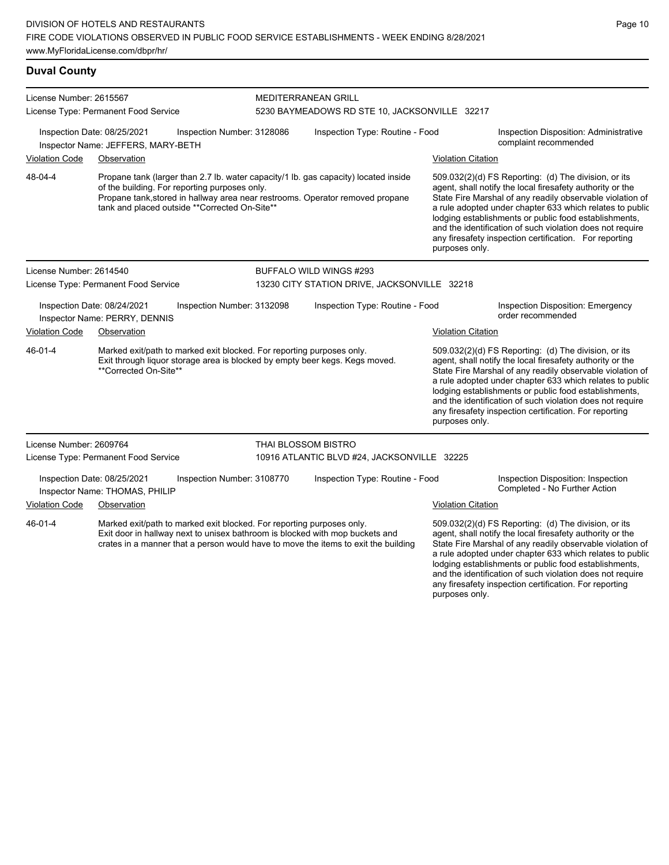www.MyFloridaLicense.com/dbpr/hr/

### **Duval County**

| License Number: 2615567<br>License Type: Permanent Food Service                            |                                                                   |                                                                                                | <b>MEDITERRANEAN GRILL</b><br>5230 BAYMEADOWS RD STE 10, JACKSONVILLE 32217 |                                                                                                                                                                      |                                                        |                                                                                                                                                                                                                                                                                                                                                                                                                            |
|--------------------------------------------------------------------------------------------|-------------------------------------------------------------------|------------------------------------------------------------------------------------------------|-----------------------------------------------------------------------------|----------------------------------------------------------------------------------------------------------------------------------------------------------------------|--------------------------------------------------------|----------------------------------------------------------------------------------------------------------------------------------------------------------------------------------------------------------------------------------------------------------------------------------------------------------------------------------------------------------------------------------------------------------------------------|
|                                                                                            | Inspection Date: 08/25/2021<br>Inspector Name: JEFFERS, MARY-BETH | Inspection Number: 3128086                                                                     |                                                                             | Inspection Type: Routine - Food<br>Inspection Disposition: Administrative<br>complaint recommended                                                                   |                                                        |                                                                                                                                                                                                                                                                                                                                                                                                                            |
| <b>Violation Code</b>                                                                      | Observation                                                       |                                                                                                |                                                                             |                                                                                                                                                                      | <b>Violation Citation</b>                              |                                                                                                                                                                                                                                                                                                                                                                                                                            |
| 48-04-4                                                                                    |                                                                   | of the building. For reporting purposes only.<br>tank and placed outside **Corrected On-Site** |                                                                             | Propane tank (larger than 2.7 lb. water capacity/1 lb. gas capacity) located inside<br>Propane tank, stored in hallway area near restrooms. Operator removed propane | purposes only.                                         | 509.032(2)(d) FS Reporting: (d) The division, or its<br>agent, shall notify the local firesafety authority or the<br>State Fire Marshal of any readily observable violation of<br>a rule adopted under chapter 633 which relates to public<br>lodging establishments or public food establishments,<br>and the identification of such violation does not require<br>any firesafety inspection certification. For reporting |
| License Number: 2614540                                                                    |                                                                   |                                                                                                |                                                                             | BUFFALO WILD WINGS #293                                                                                                                                              |                                                        |                                                                                                                                                                                                                                                                                                                                                                                                                            |
|                                                                                            | License Type: Permanent Food Service                              |                                                                                                |                                                                             | 13230 CITY STATION DRIVE, JACKSONVILLE 32218                                                                                                                         |                                                        |                                                                                                                                                                                                                                                                                                                                                                                                                            |
| Inspection Number: 3132098<br>Inspection Date: 08/24/2021<br>Inspector Name: PERRY, DENNIS |                                                                   |                                                                                                | Inspection Type: Routine - Food                                             |                                                                                                                                                                      | Inspection Disposition: Emergency<br>order recommended |                                                                                                                                                                                                                                                                                                                                                                                                                            |
| <b>Violation Code</b>                                                                      | Observation                                                       |                                                                                                |                                                                             |                                                                                                                                                                      | <b>Violation Citation</b>                              |                                                                                                                                                                                                                                                                                                                                                                                                                            |
| $46 - 01 - 4$                                                                              | **Corrected On-Site**                                             | Marked exit/path to marked exit blocked. For reporting purposes only.                          |                                                                             | Exit through liquor storage area is blocked by empty beer kegs. Kegs moved.                                                                                          | purposes only.                                         | 509.032(2)(d) FS Reporting: (d) The division, or its<br>agent, shall notify the local firesafety authority or the<br>State Fire Marshal of any readily observable violation of<br>a rule adopted under chapter 633 which relates to public<br>lodging establishments or public food establishments,<br>and the identification of such violation does not require<br>any firesafety inspection certification. For reporting |
| License Number: 2609764                                                                    |                                                                   |                                                                                                | <b>THAI BLOSSOM BISTRO</b>                                                  |                                                                                                                                                                      |                                                        |                                                                                                                                                                                                                                                                                                                                                                                                                            |
|                                                                                            | License Type: Permanent Food Service                              |                                                                                                |                                                                             | 10916 ATLANTIC BLVD #24, JACKSONVILLE 32225                                                                                                                          |                                                        |                                                                                                                                                                                                                                                                                                                                                                                                                            |
|                                                                                            | Inspection Date: 08/25/2021<br>Inspector Name: THOMAS, PHILIP     | Inspection Number: 3108770                                                                     |                                                                             | Inspection Type: Routine - Food                                                                                                                                      |                                                        | Inspection Disposition: Inspection<br>Completed - No Further Action                                                                                                                                                                                                                                                                                                                                                        |
| <b>Violation Code</b>                                                                      | Observation                                                       |                                                                                                |                                                                             |                                                                                                                                                                      | <b>Violation Citation</b>                              |                                                                                                                                                                                                                                                                                                                                                                                                                            |
| $46 - 01 - 4$                                                                              |                                                                   | Marked exit/path to marked exit blocked. For reporting purposes only.                          |                                                                             | Exit door in hallway next to unisex bathroom is blocked with mop buckets and<br>crates in a manner that a person would have to move the items to exit the building   |                                                        | 509.032(2)(d) FS Reporting: (d) The division, or its<br>agent, shall notify the local firesafety authority or the<br>State Fire Marshal of any readily observable violation of<br>a rule adopted under chapter 633 which relates to public<br>lodging establishments or public food establishments,<br>and the identification of such violation does not require                                                           |

and the identification of such violation does not require any firesafety inspection certification. For reporting purposes only.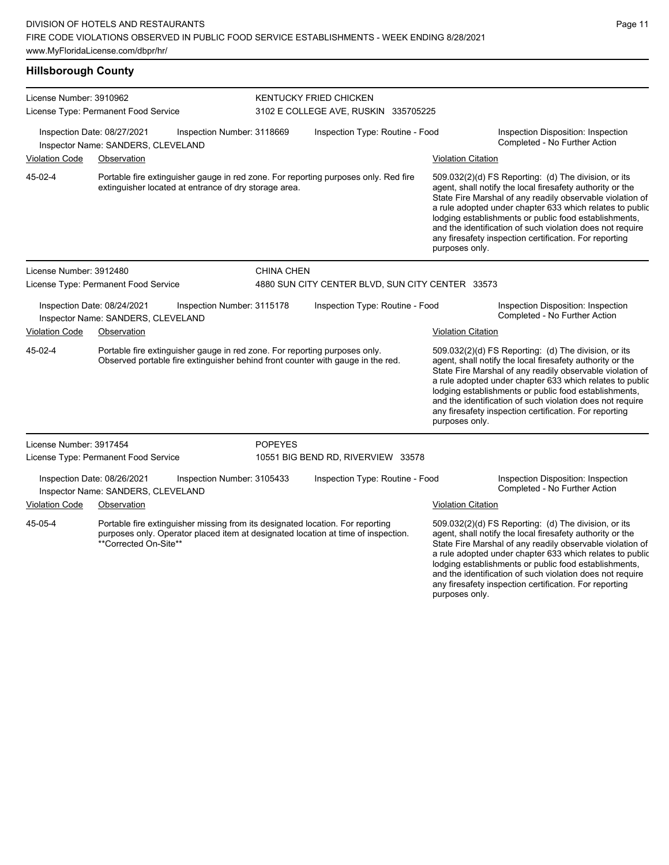**Hillsborough County** License Number: 3910962 License Type: Permanent Food Service KENTUCKY FRIED CHICKEN 3102 E COLLEGE AVE, RUSKIN 335705225 Inspection Date: 08/27/2021 Inspection Number: 3118669 Inspection Type: Routine - Food Inspection Disposition: Inspection Completed - No Further Action Inspector Name: SANDERS, CLEVELAND Violation Code Observation Violation Citation Portable fire extinguisher gauge in red zone. For reporting purposes only. Red fire extinguisher located at entrance of dry storage area. 509.032(2)(d) FS Reporting: (d) The division, or its agent, shall notify the local firesafety authority or the State Fire Marshal of any readily observable violation of a rule adopted under chapter 633 which relates to public lodging establishments or public food establishments, and the identification of such violation does not require any firesafety inspection certification. For reporting purposes only. 45-02-4 License Number: 3912480 License Type: Permanent Food Service CHINA CHEN 4880 SUN CITY CENTER BLVD, SUN CITY CENTER 33573 Inspection Date: 08/24/2021 Inspection Number: 3115178 Inspection Type: Routine - Food Inspection Disposition: Inspection Inspector Name: SANDERS, CLEVELAND **And Action** Inspector Name: SANDERS, CLEVELAND Violation Code Observation Violation Citation Portable fire extinguisher gauge in red zone. For reporting purposes only. Observed portable fire extinguisher behind front counter with gauge in the red. 509.032(2)(d) FS Reporting: (d) The division, or its agent, shall notify the local firesafety authority or the State Fire Marshal of any readily observable violation of a rule adopted under chapter 633 which relates to public lodging establishments or public food establishments, and the identification of such violation does not require any firesafety inspection certification. For reporting purposes only. 45-02-4 License Number: 3917454 License Type: Permanent Food Service POPEYES 10551 BIG BEND RD, RIVERVIEW 33578 Inspection Date: 08/26/2021 Inspection Number: 3105433 Inspection Type: Routine - Food Inspection Disposition: Inspection Inspector Name: SANDERS, CLEVELAND Violation Code Observation Violation Citation Portable fire extinguisher missing from its designated location. For reporting purposes only. Operator placed item at designated location at time of inspection. \*\*Corrected On-Site\*\* 509.032(2)(d) FS Reporting: (d) The division, or its agent, shall notify the local firesafety authority or the State Fire Marshal of any readily observable violation of a rule adopted under chapter 633 which relates to public 45-05-4

Page 11

lodging establishments or public food establishments, and the identification of such violation does not require any firesafety inspection certification. For reporting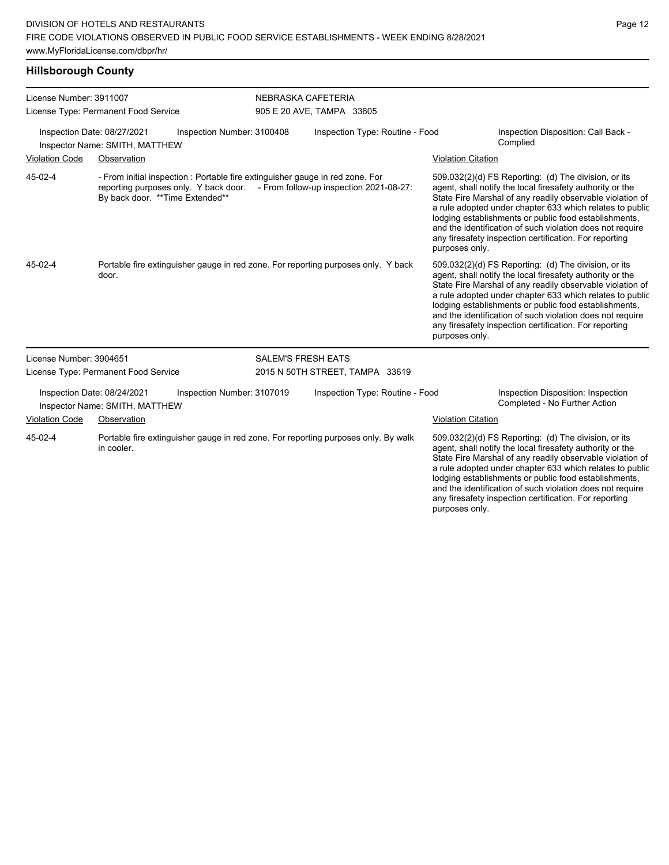## **Hillsborough County**

| License Number: 3911007     | License Type: Permanent Food Service |                                                                                                                        | NEBRASKA CAFETERIA        | 905 E 20 AVE, TAMPA 33605               |                           |                                                                                                                                                                                                                                                                                                                                                                                                                            |
|-----------------------------|--------------------------------------|------------------------------------------------------------------------------------------------------------------------|---------------------------|-----------------------------------------|---------------------------|----------------------------------------------------------------------------------------------------------------------------------------------------------------------------------------------------------------------------------------------------------------------------------------------------------------------------------------------------------------------------------------------------------------------------|
| Inspection Date: 08/27/2021 | Inspector Name: SMITH, MATTHEW       | Inspection Number: 3100408                                                                                             |                           | Inspection Type: Routine - Food         |                           | Inspection Disposition: Call Back -<br>Complied                                                                                                                                                                                                                                                                                                                                                                            |
| Violation Code              | Observation                          |                                                                                                                        |                           |                                         | <b>Violation Citation</b> |                                                                                                                                                                                                                                                                                                                                                                                                                            |
| 45-02-4                     | By back door. ** Time Extended**     | - From initial inspection : Portable fire extinguisher gauge in red zone. For<br>reporting purposes only. Y back door. |                           | - From follow-up inspection 2021-08-27: | purposes only.            | 509.032(2)(d) FS Reporting: (d) The division, or its<br>agent, shall notify the local firesafety authority or the<br>State Fire Marshal of any readily observable violation of<br>a rule adopted under chapter 633 which relates to public<br>lodging establishments or public food establishments,<br>and the identification of such violation does not require<br>any firesafety inspection certification. For reporting |
| 45-02-4                     | door.                                | Portable fire extinguisher gauge in red zone. For reporting purposes only. Y back                                      |                           |                                         | purposes only.            | 509.032(2)(d) FS Reporting: (d) The division, or its<br>agent, shall notify the local firesafety authority or the<br>State Fire Marshal of any readily observable violation of<br>a rule adopted under chapter 633 which relates to public<br>lodging establishments or public food establishments,<br>and the identification of such violation does not require<br>any firesafety inspection certification. For reporting |
| License Number: 3904651     |                                      |                                                                                                                        | <b>SALEM'S FRESH EATS</b> |                                         |                           |                                                                                                                                                                                                                                                                                                                                                                                                                            |
|                             | License Type: Permanent Food Service |                                                                                                                        |                           | 2015 N 50TH STREET, TAMPA 33619         |                           |                                                                                                                                                                                                                                                                                                                                                                                                                            |
| Inspection Date: 08/24/2021 | Inspector Name: SMITH, MATTHEW       | Inspection Number: 3107019                                                                                             |                           | Inspection Type: Routine - Food         |                           | Inspection Disposition: Inspection<br>Completed - No Further Action                                                                                                                                                                                                                                                                                                                                                        |
| <b>Violation Code</b>       | Observation                          |                                                                                                                        |                           |                                         | <b>Violation Citation</b> |                                                                                                                                                                                                                                                                                                                                                                                                                            |
| 45-02-4                     | in cooler.                           | Portable fire extinguisher gauge in red zone. For reporting purposes only. By walk                                     |                           |                                         | purposes only.            | 509.032(2)(d) FS Reporting: (d) The division, or its<br>agent, shall notify the local firesafety authority or the<br>State Fire Marshal of any readily observable violation of<br>a rule adopted under chapter 633 which relates to public<br>lodging establishments or public food establishments,<br>and the identification of such violation does not require<br>any firesafety inspection certification. For reporting |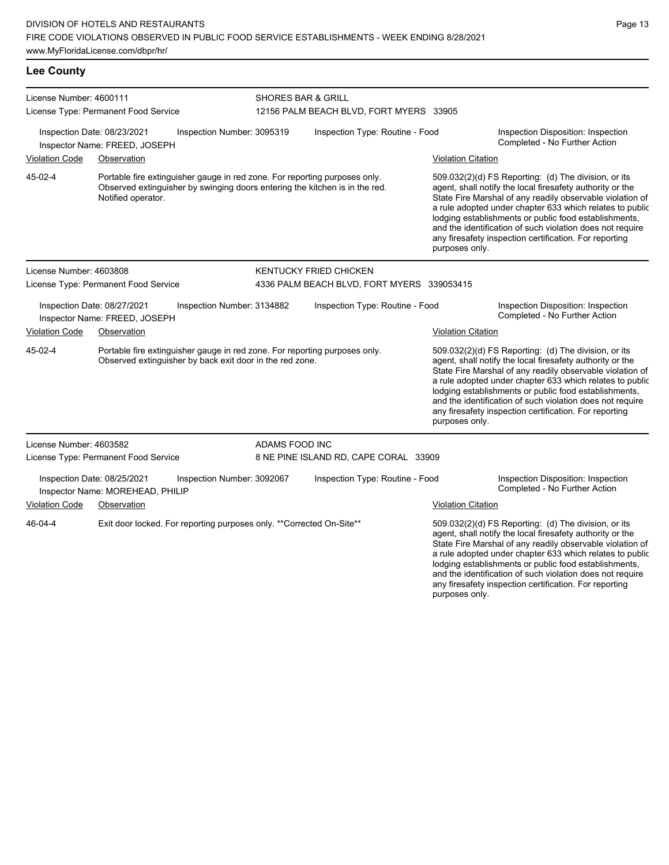| License Number: 4600111<br>License Type: Permanent Food Service |                                                                 |                                                                                                                                                           | <b>SHORES BAR &amp; GRILL</b>   | 12156 PALM BEACH BLVD, FORT MYERS 33905    |                           |                                                                                                                                                                                                                                                                                                                                                                                                                            |  |
|-----------------------------------------------------------------|-----------------------------------------------------------------|-----------------------------------------------------------------------------------------------------------------------------------------------------------|---------------------------------|--------------------------------------------|---------------------------|----------------------------------------------------------------------------------------------------------------------------------------------------------------------------------------------------------------------------------------------------------------------------------------------------------------------------------------------------------------------------------------------------------------------------|--|
|                                                                 | Inspection Date: 08/23/2021<br>Inspector Name: FREED, JOSEPH    | Inspection Number: 3095319                                                                                                                                | Inspection Type: Routine - Food |                                            |                           | Inspection Disposition: Inspection<br>Completed - No Further Action                                                                                                                                                                                                                                                                                                                                                        |  |
| <b>Violation Code</b>                                           | Observation                                                     |                                                                                                                                                           |                                 |                                            | <b>Violation Citation</b> |                                                                                                                                                                                                                                                                                                                                                                                                                            |  |
| 45-02-4                                                         | Notified operator.                                              | Portable fire extinguisher gauge in red zone. For reporting purposes only.<br>Observed extinguisher by swinging doors entering the kitchen is in the red. |                                 |                                            | purposes only.            | 509.032(2)(d) FS Reporting: (d) The division, or its<br>agent, shall notify the local firesafety authority or the<br>State Fire Marshal of any readily observable violation of<br>a rule adopted under chapter 633 which relates to public<br>lodging establishments or public food establishments,<br>and the identification of such violation does not require<br>any firesafety inspection certification. For reporting |  |
| License Number: 4603808                                         |                                                                 |                                                                                                                                                           |                                 | <b>KENTUCKY FRIED CHICKEN</b>              |                           |                                                                                                                                                                                                                                                                                                                                                                                                                            |  |
|                                                                 | License Type: Permanent Food Service                            |                                                                                                                                                           |                                 | 4336 PALM BEACH BLVD, FORT MYERS 339053415 |                           |                                                                                                                                                                                                                                                                                                                                                                                                                            |  |
|                                                                 | Inspection Date: 08/27/2021<br>Inspector Name: FREED, JOSEPH    | Inspection Number: 3134882                                                                                                                                |                                 | Inspection Type: Routine - Food            |                           | Inspection Disposition: Inspection<br>Completed - No Further Action                                                                                                                                                                                                                                                                                                                                                        |  |
| <b>Violation Code</b>                                           | Observation                                                     |                                                                                                                                                           |                                 |                                            | <b>Violation Citation</b> |                                                                                                                                                                                                                                                                                                                                                                                                                            |  |
| 45-02-4                                                         |                                                                 | Portable fire extinguisher gauge in red zone. For reporting purposes only.<br>Observed extinguisher by back exit door in the red zone.                    |                                 |                                            | purposes only.            | 509.032(2)(d) FS Reporting: (d) The division, or its<br>agent, shall notify the local firesafety authority or the<br>State Fire Marshal of any readily observable violation of<br>a rule adopted under chapter 633 which relates to public<br>lodging establishments or public food establishments,<br>and the identification of such violation does not require<br>any firesafety inspection certification. For reporting |  |
| License Number: 4603582                                         |                                                                 |                                                                                                                                                           | ADAMS FOOD INC                  |                                            |                           |                                                                                                                                                                                                                                                                                                                                                                                                                            |  |
|                                                                 | License Type: Permanent Food Service                            |                                                                                                                                                           |                                 | 8 NE PINE ISLAND RD, CAPE CORAL 33909      |                           |                                                                                                                                                                                                                                                                                                                                                                                                                            |  |
|                                                                 | Inspection Date: 08/25/2021<br>Inspector Name: MOREHEAD, PHILIP | Inspection Number: 3092067                                                                                                                                |                                 | Inspection Type: Routine - Food            |                           | Inspection Disposition: Inspection<br>Completed - No Further Action                                                                                                                                                                                                                                                                                                                                                        |  |
| <b>Violation Code</b>                                           | Observation                                                     |                                                                                                                                                           |                                 |                                            | <b>Violation Citation</b> |                                                                                                                                                                                                                                                                                                                                                                                                                            |  |
| 46-04-4                                                         |                                                                 | Exit door locked. For reporting purposes only. ** Corrected On-Site**                                                                                     |                                 |                                            |                           | 509.032(2)(d) FS Reporting: (d) The division, or its<br>agent, shall notify the local firesafety authority or the<br>State Fire Marshal of any readily observable violation of<br>a rule adopted under chapter 633 which relates to public<br>lodging establishments or public food establishments,                                                                                                                        |  |

and the identification of such violation does not require any firesafety inspection certification. For reporting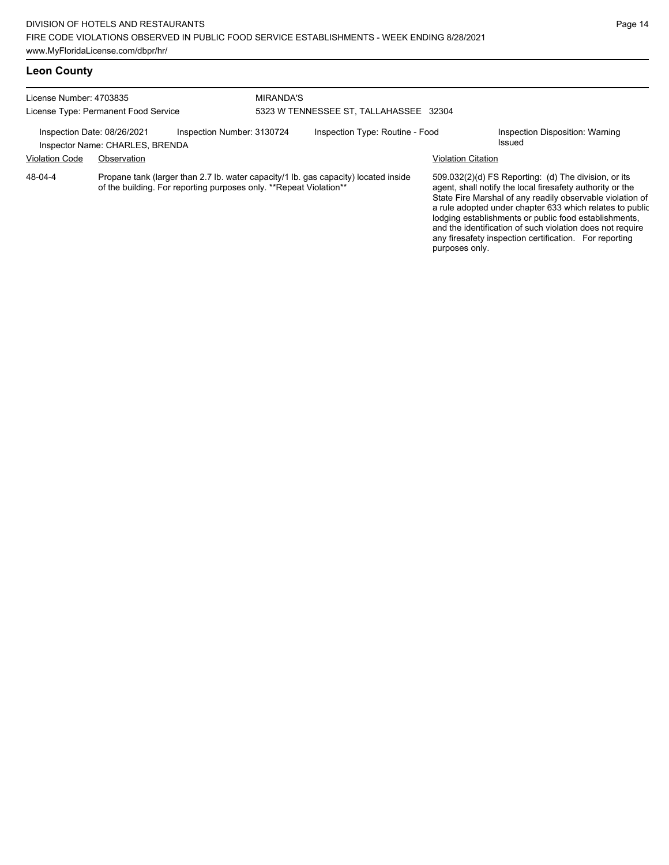## **Leon County**

| License Number: 4703835<br>License Type: Permanent Food Service                              |             | <b>MIRANDA'S</b>                                                    | 5323 W TENNESSEE ST, TALLAHASSEE 32304    |                                                                                     |                                 |                                                                                                                                                                                                                                                                                                                                                                  |
|----------------------------------------------------------------------------------------------|-------------|---------------------------------------------------------------------|-------------------------------------------|-------------------------------------------------------------------------------------|---------------------------------|------------------------------------------------------------------------------------------------------------------------------------------------------------------------------------------------------------------------------------------------------------------------------------------------------------------------------------------------------------------|
| Inspection Number: 3130724<br>Inspection Date: 08/26/2021<br>Inspector Name: CHARLES, BRENDA |             |                                                                     | Inspection Type: Routine - Food<br>Issued |                                                                                     | Inspection Disposition: Warning |                                                                                                                                                                                                                                                                                                                                                                  |
| <b>Violation Code</b>                                                                        | Observation |                                                                     |                                           |                                                                                     | Violation Citation              |                                                                                                                                                                                                                                                                                                                                                                  |
| 48-04-4                                                                                      |             | of the building. For reporting purposes only. ** Repeat Violation** |                                           | Propane tank (larger than 2.7 lb. water capacity/1 lb. gas capacity) located inside |                                 | 509.032(2)(d) FS Reporting: (d) The division, or its<br>agent, shall notify the local firesafety authority or the<br>State Fire Marshal of any readily observable violation of<br>a rule adopted under chapter 633 which relates to public<br>lodging establishments or public food establishments,<br>and the identification of such violation does not require |

any firesafety inspection certification. For reporting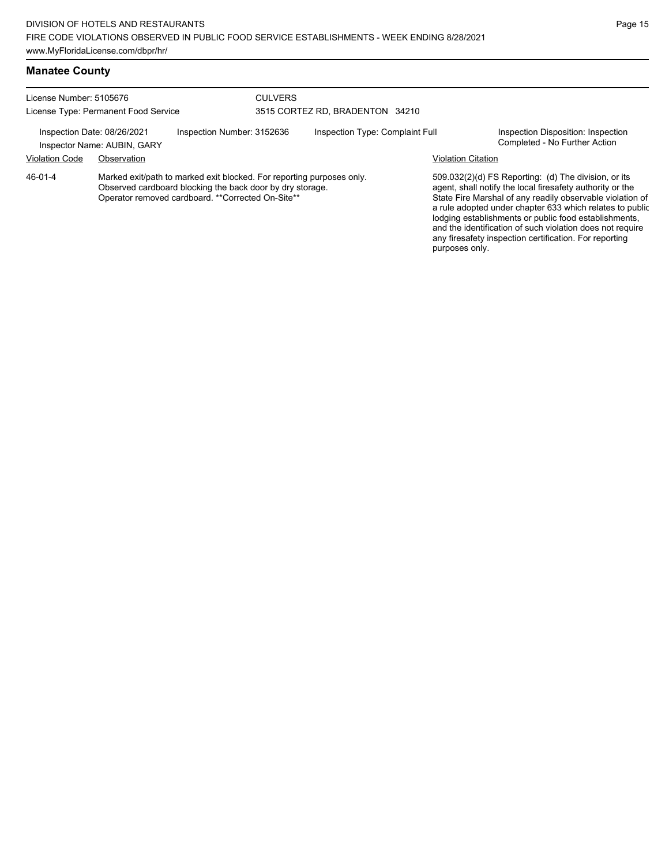| License Number: 5105676<br>License Type: Permanent Food Service |                                                                                                                                                                                          |                            | <b>CULVERS</b> | 3515 CORTEZ RD, BRADENTON 34210 |                           |                                                                                                                                                                                                                                                                                                                                                                                                                            |
|-----------------------------------------------------------------|------------------------------------------------------------------------------------------------------------------------------------------------------------------------------------------|----------------------------|----------------|---------------------------------|---------------------------|----------------------------------------------------------------------------------------------------------------------------------------------------------------------------------------------------------------------------------------------------------------------------------------------------------------------------------------------------------------------------------------------------------------------------|
|                                                                 | Inspection Date: 08/26/2021<br>Inspector Name: AUBIN, GARY                                                                                                                               | Inspection Number: 3152636 |                | Inspection Type: Complaint Full |                           | Inspection Disposition: Inspection<br>Completed - No Further Action                                                                                                                                                                                                                                                                                                                                                        |
| <b>Violation Code</b>                                           | Observation                                                                                                                                                                              |                            |                |                                 | <b>Violation Citation</b> |                                                                                                                                                                                                                                                                                                                                                                                                                            |
| 46-01-4                                                         | Marked exit/path to marked exit blocked. For reporting purposes only.<br>Observed cardboard blocking the back door by dry storage.<br>Operator removed cardboard. ** Corrected On-Site** |                            |                |                                 | purposes only.            | 509.032(2)(d) FS Reporting: (d) The division, or its<br>agent, shall notify the local firesafety authority or the<br>State Fire Marshal of any readily observable violation of<br>a rule adopted under chapter 633 which relates to public<br>lodging establishments or public food establishments,<br>and the identification of such violation does not require<br>any firesafety inspection certification. For reporting |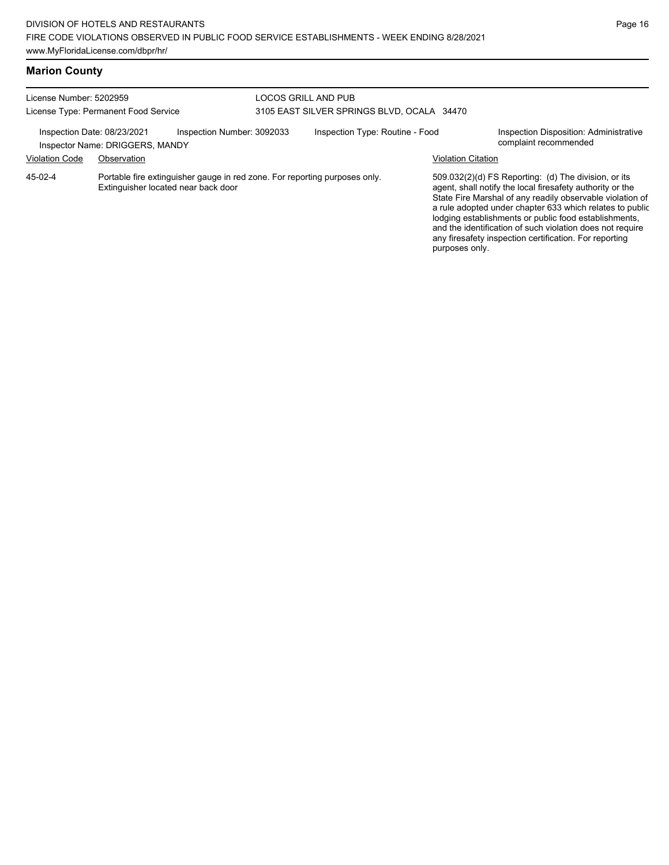| License Number: 5202959<br>License Type: Permanent Food Service |                                                                |                                                                            | LOCOS GRILL AND PUB<br>3105 EAST SILVER SPRINGS BLVD, OCALA 34470 |                                 |                           |                                                                                                                                                                                                                                                                                                                                                                                                                            |
|-----------------------------------------------------------------|----------------------------------------------------------------|----------------------------------------------------------------------------|-------------------------------------------------------------------|---------------------------------|---------------------------|----------------------------------------------------------------------------------------------------------------------------------------------------------------------------------------------------------------------------------------------------------------------------------------------------------------------------------------------------------------------------------------------------------------------------|
|                                                                 | Inspection Date: 08/23/2021<br>Inspector Name: DRIGGERS, MANDY | Inspection Number: 3092033                                                 |                                                                   | Inspection Type: Routine - Food |                           | Inspection Disposition: Administrative<br>complaint recommended                                                                                                                                                                                                                                                                                                                                                            |
| <b>Violation Code</b>                                           | Observation                                                    |                                                                            |                                                                   |                                 | <b>Violation Citation</b> |                                                                                                                                                                                                                                                                                                                                                                                                                            |
| 45-02-4                                                         | Extinguisher located near back door                            | Portable fire extinguisher gauge in red zone. For reporting purposes only. |                                                                   |                                 |                           | 509.032(2)(d) FS Reporting: (d) The division, or its<br>agent, shall notify the local firesafety authority or the<br>State Fire Marshal of any readily observable violation of<br>a rule adopted under chapter 633 which relates to public<br>lodging establishments or public food establishments,<br>and the identification of such violation does not require<br>any firesafety inspection certification. For reporting |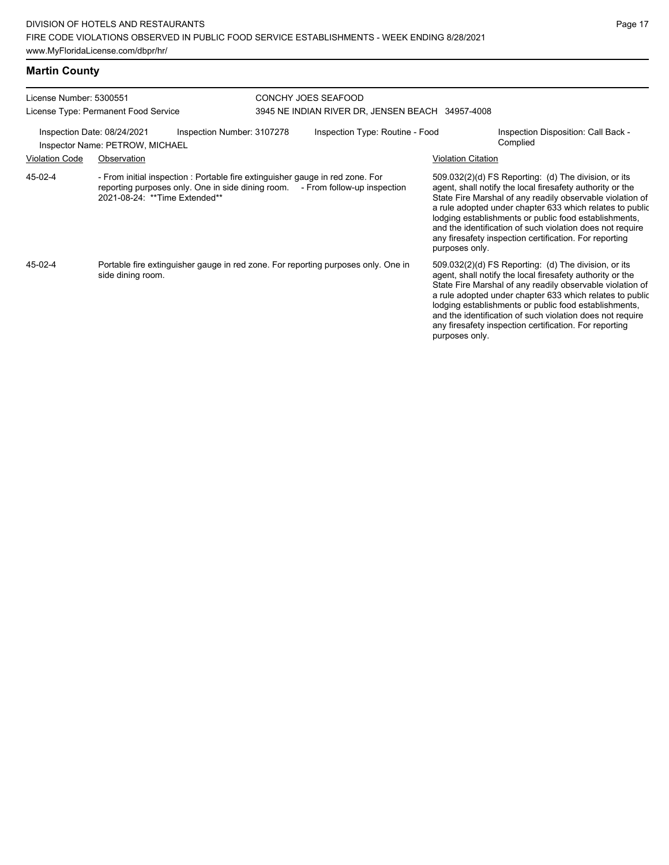| License Number: 5300551                              | License Type: Permanent Food Service                                                                                                                                                             | CONCHY JOES SEAFOOD<br>3945 NE INDIAN RIVER DR, JENSEN BEACH 34957-4008 |                                 |                           |                                                                                                                                                                                                                                                                                                                                                                                                                              |
|------------------------------------------------------|--------------------------------------------------------------------------------------------------------------------------------------------------------------------------------------------------|-------------------------------------------------------------------------|---------------------------------|---------------------------|------------------------------------------------------------------------------------------------------------------------------------------------------------------------------------------------------------------------------------------------------------------------------------------------------------------------------------------------------------------------------------------------------------------------------|
| Inspection Date: 08/24/2021<br><b>Violation Code</b> | Inspection Number: 3107278<br>Inspector Name: PETROW, MICHAEL<br>Observation                                                                                                                     |                                                                         | Inspection Type: Routine - Food | <b>Violation Citation</b> | Inspection Disposition: Call Back -<br>Complied                                                                                                                                                                                                                                                                                                                                                                              |
| 45-02-4                                              | - From initial inspection : Portable fire extinguisher gauge in red zone. For<br>reporting purposes only. One in side dining room. - From follow-up inspection<br>2021-08-24: ** Time Extended** |                                                                         |                                 | purposes only.            | $509.032(2)(d)$ FS Reporting: (d) The division, or its<br>agent, shall notify the local firesafety authority or the<br>State Fire Marshal of any readily observable violation of<br>a rule adopted under chapter 633 which relates to public<br>lodging establishments or public food establishments,<br>and the identification of such violation does not require<br>any firesafety inspection certification. For reporting |
| 45-02-4                                              | Portable fire extinguisher gauge in red zone. For reporting purposes only. One in<br>side dining room.                                                                                           |                                                                         |                                 | purposes only.            | $509.032(2)(d)$ FS Reporting: (d) The division, or its<br>agent, shall notify the local firesafety authority or the<br>State Fire Marshal of any readily observable violation of<br>a rule adopted under chapter 633 which relates to public<br>lodging establishments or public food establishments,<br>and the identification of such violation does not require<br>any firesafety inspection certification. For reporting |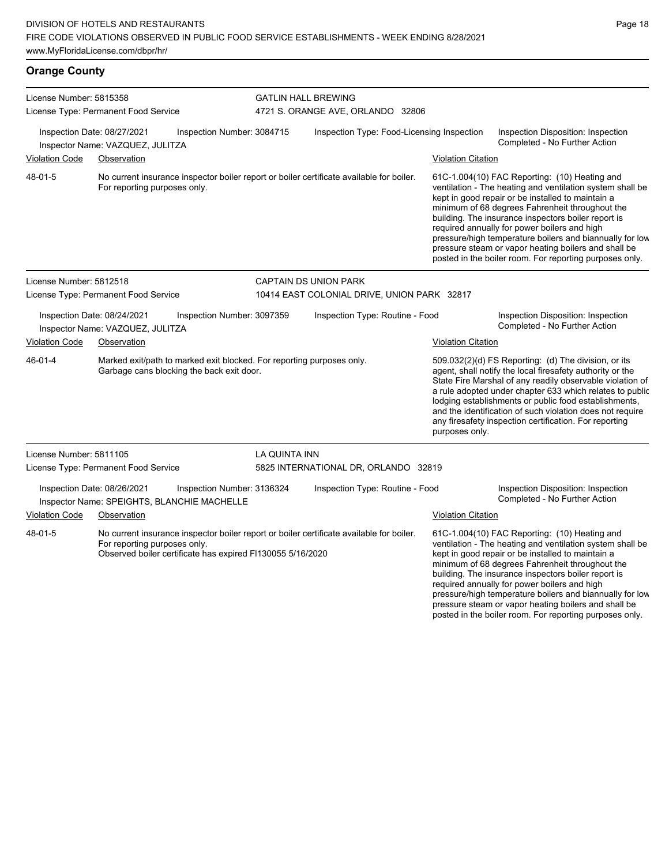required annually for power boilers and high

pressure/high temperature boilers and biannually for low pressure steam or vapor heating boilers and shall be posted in the boiler room. For reporting purposes only.

| <b>Orange County</b>                                                                                  |                                                                 |                                                                                                                    |                                                                                          |                                                                                          |                                                                                                                                                                                                                                                                           |                                                                                                                                                                                                                                                                                                                                                                                                                                                                                                          |  |  |
|-------------------------------------------------------------------------------------------------------|-----------------------------------------------------------------|--------------------------------------------------------------------------------------------------------------------|------------------------------------------------------------------------------------------|------------------------------------------------------------------------------------------|---------------------------------------------------------------------------------------------------------------------------------------------------------------------------------------------------------------------------------------------------------------------------|----------------------------------------------------------------------------------------------------------------------------------------------------------------------------------------------------------------------------------------------------------------------------------------------------------------------------------------------------------------------------------------------------------------------------------------------------------------------------------------------------------|--|--|
| License Number: 5815358<br>License Type: Permanent Food Service                                       |                                                                 |                                                                                                                    | <b>GATLIN HALL BREWING</b><br>4721 S. ORANGE AVE, ORLANDO 32806                          |                                                                                          |                                                                                                                                                                                                                                                                           |                                                                                                                                                                                                                                                                                                                                                                                                                                                                                                          |  |  |
|                                                                                                       | Inspection Date: 08/27/2021<br>Inspector Name: VAZQUEZ, JULITZA | Inspection Number: 3084715                                                                                         |                                                                                          | Inspection Type: Food-Licensing Inspection                                               |                                                                                                                                                                                                                                                                           | Inspection Disposition: Inspection<br>Completed - No Further Action                                                                                                                                                                                                                                                                                                                                                                                                                                      |  |  |
| <b>Violation Code</b>                                                                                 | Observation                                                     |                                                                                                                    |                                                                                          |                                                                                          | <b>Violation Citation</b>                                                                                                                                                                                                                                                 |                                                                                                                                                                                                                                                                                                                                                                                                                                                                                                          |  |  |
| 48-01-5                                                                                               | For reporting purposes only.                                    |                                                                                                                    |                                                                                          | No current insurance inspector boiler report or boiler certificate available for boiler. |                                                                                                                                                                                                                                                                           | 61C-1.004(10) FAC Reporting: (10) Heating and<br>ventilation - The heating and ventilation system shall be<br>kept in good repair or be installed to maintain a<br>minimum of 68 degrees Fahrenheit throughout the<br>building. The insurance inspectors boiler report is<br>required annually for power boilers and high<br>pressure/high temperature boilers and biannually for low<br>pressure steam or vapor heating boilers and shall be<br>posted in the boiler room. For reporting purposes only. |  |  |
| License Number: 5812518                                                                               |                                                                 |                                                                                                                    |                                                                                          | <b>CAPTAIN DS UNION PARK</b>                                                             |                                                                                                                                                                                                                                                                           |                                                                                                                                                                                                                                                                                                                                                                                                                                                                                                          |  |  |
|                                                                                                       | License Type: Permanent Food Service                            |                                                                                                                    |                                                                                          | 10414 EAST COLONIAL DRIVE, UNION PARK 32817                                              |                                                                                                                                                                                                                                                                           |                                                                                                                                                                                                                                                                                                                                                                                                                                                                                                          |  |  |
| Inspection Date: 08/24/2021<br>Inspection Number: 3097359<br>Inspector Name: VAZQUEZ, JULITZA         |                                                                 |                                                                                                                    | Inspection Type: Routine - Food                                                          |                                                                                          | Inspection Disposition: Inspection<br>Completed - No Further Action                                                                                                                                                                                                       |                                                                                                                                                                                                                                                                                                                                                                                                                                                                                                          |  |  |
| <b>Violation Code</b>                                                                                 | Observation                                                     |                                                                                                                    |                                                                                          |                                                                                          | <b>Violation Citation</b>                                                                                                                                                                                                                                                 |                                                                                                                                                                                                                                                                                                                                                                                                                                                                                                          |  |  |
| $46 - 01 - 4$                                                                                         |                                                                 | Marked exit/path to marked exit blocked. For reporting purposes only.<br>Garbage cans blocking the back exit door. |                                                                                          |                                                                                          | purposes only.                                                                                                                                                                                                                                                            | 509.032(2)(d) FS Reporting: (d) The division, or its<br>agent, shall notify the local firesafety authority or the<br>State Fire Marshal of any readily observable violation of<br>a rule adopted under chapter 633 which relates to public<br>lodging establishments or public food establishments,<br>and the identification of such violation does not require<br>any firesafety inspection certification. For reporting                                                                               |  |  |
| License Number: 5811105                                                                               |                                                                 |                                                                                                                    | LA QUINTA INN                                                                            |                                                                                          |                                                                                                                                                                                                                                                                           |                                                                                                                                                                                                                                                                                                                                                                                                                                                                                                          |  |  |
|                                                                                                       | License Type: Permanent Food Service                            |                                                                                                                    |                                                                                          | 5825 INTERNATIONAL DR, ORLANDO 32819                                                     |                                                                                                                                                                                                                                                                           |                                                                                                                                                                                                                                                                                                                                                                                                                                                                                                          |  |  |
|                                                                                                       | Inspection Date: 08/26/2021                                     | Inspection Number: 3136324<br>Inspector Name: SPEIGHTS, BLANCHIE MACHELLE                                          |                                                                                          | Inspection Type: Routine - Food                                                          |                                                                                                                                                                                                                                                                           | Inspection Disposition: Inspection<br>Completed - No Further Action                                                                                                                                                                                                                                                                                                                                                                                                                                      |  |  |
| <b>Violation Code</b>                                                                                 | Observation                                                     |                                                                                                                    |                                                                                          |                                                                                          | <b>Violation Citation</b>                                                                                                                                                                                                                                                 |                                                                                                                                                                                                                                                                                                                                                                                                                                                                                                          |  |  |
| 48-01-5<br>For reporting purposes only.<br>Observed boiler certificate has expired FI130055 5/16/2020 |                                                                 |                                                                                                                    | No current insurance inspector boiler report or boiler certificate available for boiler. |                                                                                          | 61C-1.004(10) FAC Reporting: (10) Heating and<br>ventilation - The heating and ventilation system shall be<br>kept in good repair or be installed to maintain a<br>minimum of 68 degrees Fahrenheit throughout the<br>building. The insurance inspectors boiler report is |                                                                                                                                                                                                                                                                                                                                                                                                                                                                                                          |  |  |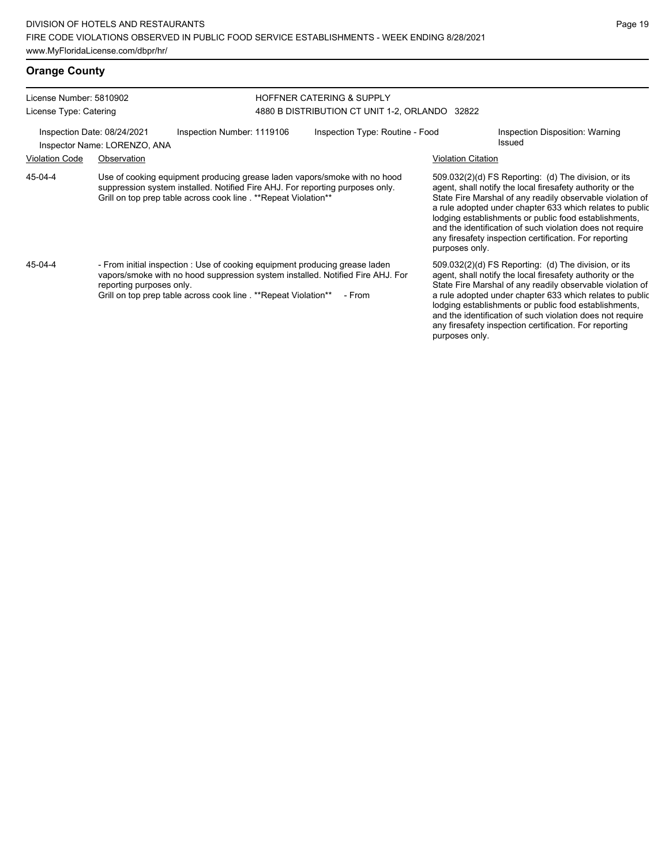| License Number: 5810902<br>License Type: Catering           |                          |                                                                                                                                                                                                                                  | <b>HOFFNER CATERING &amp; SUPPLY</b><br>4880 B DISTRIBUTION CT UNIT 1-2, ORLANDO 32822 |                           |                                                                                                                                                                                                                                                                                                                                                                                                                            |  |  |
|-------------------------------------------------------------|--------------------------|----------------------------------------------------------------------------------------------------------------------------------------------------------------------------------------------------------------------------------|----------------------------------------------------------------------------------------|---------------------------|----------------------------------------------------------------------------------------------------------------------------------------------------------------------------------------------------------------------------------------------------------------------------------------------------------------------------------------------------------------------------------------------------------------------------|--|--|
| Inspection Date: 08/24/2021<br>Inspector Name: LORENZO, ANA |                          | Inspection Number: 1119106                                                                                                                                                                                                       | Inspection Type: Routine - Food                                                        |                           | Inspection Disposition: Warning<br>Issued                                                                                                                                                                                                                                                                                                                                                                                  |  |  |
| <b>Violation Code</b>                                       | Observation              |                                                                                                                                                                                                                                  |                                                                                        | <b>Violation Citation</b> |                                                                                                                                                                                                                                                                                                                                                                                                                            |  |  |
| 45-04-4                                                     |                          | Use of cooking equipment producing grease laden vapors/smoke with no hood<br>suppression system installed. Notified Fire AHJ. For reporting purposes only.<br>Grill on top prep table across cook line . **Repeat Violation**    |                                                                                        | purposes only.            | 509.032(2)(d) FS Reporting: (d) The division, or its<br>agent, shall notify the local firesafety authority or the<br>State Fire Marshal of any readily observable violation of<br>a rule adopted under chapter 633 which relates to public<br>lodging establishments or public food establishments,<br>and the identification of such violation does not require<br>any firesafety inspection certification. For reporting |  |  |
| 45-04-4                                                     | reporting purposes only. | - From initial inspection : Use of cooking equipment producing grease laden<br>vapors/smoke with no hood suppression system installed. Notified Fire AHJ. For<br>Grill on top prep table across cook line . **Repeat Violation** | - From                                                                                 |                           | 509.032(2)(d) FS Reporting: (d) The division, or its<br>agent, shall notify the local firesafety authority or the<br>State Fire Marshal of any readily observable violation of<br>a rule adopted under chapter 633 which relates to public<br>lodging establishments or public food establishments,<br>and the identification of such violation does not require<br>any firesafety inspection certification. For reporting |  |  |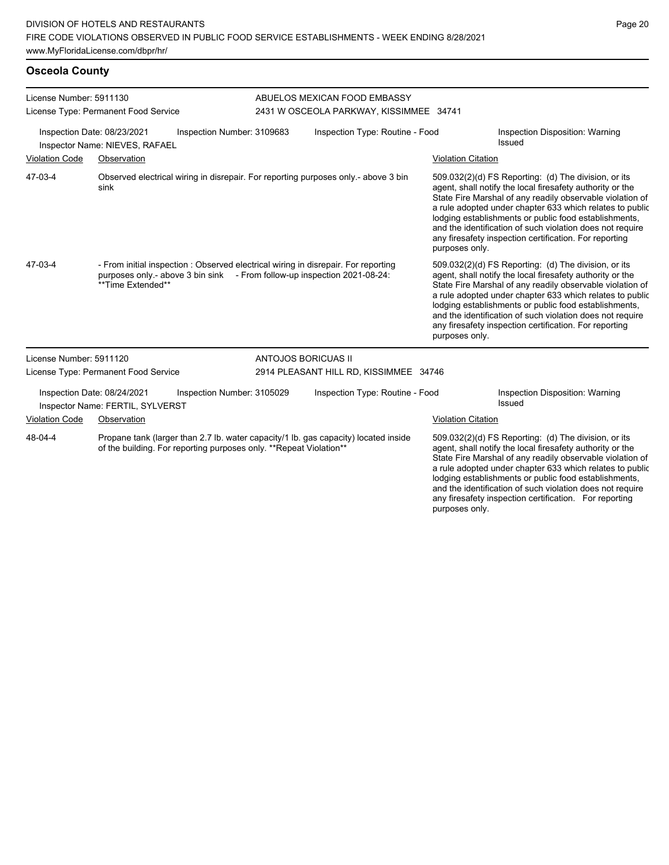## **Osceola County**

| License Number: 5911130<br>License Type: Permanent Food Service |                                                                 |                                                                     | ABUELOS MEXICAN FOOD EMBASSY<br>2431 W OSCEOLA PARKWAY, KISSIMMEE 34741 |                                                                                                                                                                |                           |                                                                                                                                                                                                                                                                                                                                                                                                                            |
|-----------------------------------------------------------------|-----------------------------------------------------------------|---------------------------------------------------------------------|-------------------------------------------------------------------------|----------------------------------------------------------------------------------------------------------------------------------------------------------------|---------------------------|----------------------------------------------------------------------------------------------------------------------------------------------------------------------------------------------------------------------------------------------------------------------------------------------------------------------------------------------------------------------------------------------------------------------------|
|                                                                 | Inspection Date: 08/23/2021<br>Inspector Name: NIEVES, RAFAEL   | Inspection Number: 3109683                                          |                                                                         | Inspection Type: Routine - Food                                                                                                                                |                           | Inspection Disposition: Warning<br>Issued                                                                                                                                                                                                                                                                                                                                                                                  |
| <b>Violation Code</b>                                           | Observation                                                     |                                                                     |                                                                         |                                                                                                                                                                | <b>Violation Citation</b> |                                                                                                                                                                                                                                                                                                                                                                                                                            |
| 47-03-4                                                         | sink                                                            |                                                                     |                                                                         | Observed electrical wiring in disrepair. For reporting purposes only - above 3 bin                                                                             | purposes only.            | 509.032(2)(d) FS Reporting: (d) The division, or its<br>agent, shall notify the local firesafety authority or the<br>State Fire Marshal of any readily observable violation of<br>a rule adopted under chapter 633 which relates to public<br>lodging establishments or public food establishments,<br>and the identification of such violation does not require<br>any firesafety inspection certification. For reporting |
| 47-03-4                                                         | **Time Extended**                                               |                                                                     |                                                                         | - From initial inspection : Observed electrical wiring in disrepair. For reporting<br>purposes only - above 3 bin sink - From follow-up inspection 2021-08-24: | purposes only.            | 509.032(2)(d) FS Reporting: (d) The division, or its<br>agent, shall notify the local firesafety authority or the<br>State Fire Marshal of any readily observable violation of<br>a rule adopted under chapter 633 which relates to public<br>lodging establishments or public food establishments,<br>and the identification of such violation does not require<br>any firesafety inspection certification. For reporting |
| License Number: 5911120                                         |                                                                 |                                                                     | <b>ANTOJOS BORICUAS II</b>                                              |                                                                                                                                                                |                           |                                                                                                                                                                                                                                                                                                                                                                                                                            |
|                                                                 | License Type: Permanent Food Service                            |                                                                     |                                                                         | 2914 PLEASANT HILL RD, KISSIMMEE 34746                                                                                                                         |                           |                                                                                                                                                                                                                                                                                                                                                                                                                            |
|                                                                 | Inspection Date: 08/24/2021<br>Inspector Name: FERTIL, SYLVERST | Inspection Number: 3105029                                          |                                                                         | Inspection Type: Routine - Food                                                                                                                                |                           | Inspection Disposition: Warning<br>Issued                                                                                                                                                                                                                                                                                                                                                                                  |
| <b>Violation Code</b>                                           | Observation                                                     |                                                                     |                                                                         |                                                                                                                                                                | <b>Violation Citation</b> |                                                                                                                                                                                                                                                                                                                                                                                                                            |
| 48-04-4                                                         |                                                                 | of the building. For reporting purposes only. ** Repeat Violation** |                                                                         | Propane tank (larger than 2.7 lb. water capacity/1 lb. gas capacity) located inside                                                                            |                           | 509.032(2)(d) FS Reporting: (d) The division, or its<br>agent, shall notify the local firesafety authority or the<br>State Fire Marshal of any readily observable violation of<br>a rule adopted under chapter 633 which relates to public<br>lodging establishments or public food establishments,<br>and the identification of such violation does not require<br>any firesafety inspection certification. For reporting |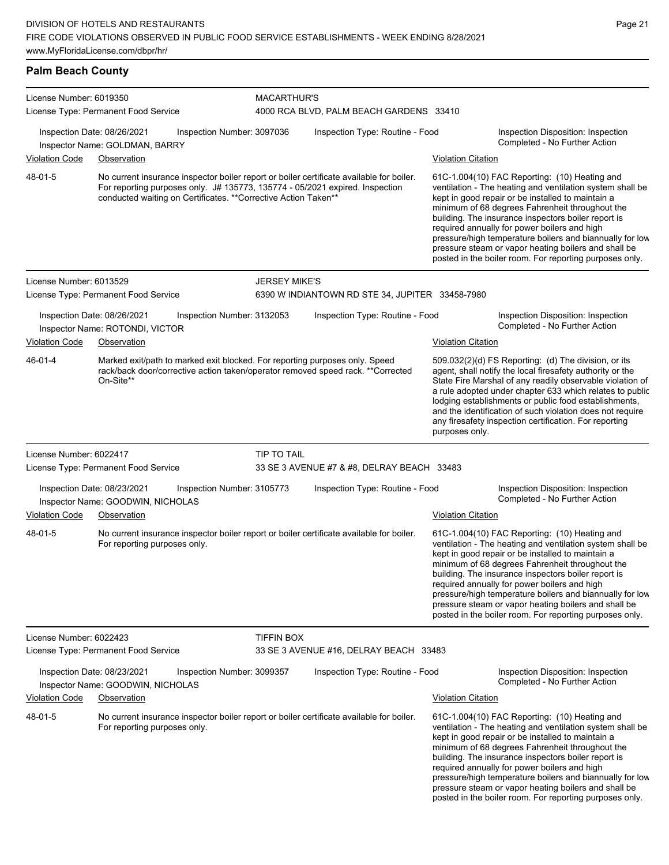conducted waiting on Certificates. \*\*Corrective Action Taken\*\*

|                                                               | www.MyFloridaLicense.com/dbpr/hr/    |                            |                    |                                                                                                                                                                          |                           |                                                                                                            |  |  |  |  |
|---------------------------------------------------------------|--------------------------------------|----------------------------|--------------------|--------------------------------------------------------------------------------------------------------------------------------------------------------------------------|---------------------------|------------------------------------------------------------------------------------------------------------|--|--|--|--|
| <b>Palm Beach County</b>                                      |                                      |                            |                    |                                                                                                                                                                          |                           |                                                                                                            |  |  |  |  |
| License Number: 6019350                                       | License Type: Permanent Food Service |                            | <b>MACARTHUR'S</b> | 4000 RCA BLVD, PALM BEACH GARDENS 33410                                                                                                                                  |                           |                                                                                                            |  |  |  |  |
| Inspection Date: 08/26/2021<br>Inspector Name: GOLDMAN, BARRY |                                      | Inspection Number: 3097036 |                    | Inspection Type: Routine - Food                                                                                                                                          |                           | Inspection Disposition: Inspection<br>Completed - No Further Action                                        |  |  |  |  |
| <b>Violation Code</b>                                         | Observation                          |                            |                    |                                                                                                                                                                          | <b>Violation Citation</b> |                                                                                                            |  |  |  |  |
| 48-01-5                                                       |                                      |                            |                    | No current insurance inspector boiler report or boiler certificate available for boiler.<br>For reporting purposes only. J# 135773, 135774 - 05/2021 expired. Inspection |                           | 61C-1.004(10) FAC Reporting: (10) Heating and<br>ventilation - The heating and ventilation system shall be |  |  |  |  |

License Number: 6013529 License Type: Permanent Food Service JERSEY MIKE'S 6390 W INDIANTOWN RD STE 34, JUPITER 33458-7980 Inspection Date: 08/26/2021 Inspection Number: 3132053 Inspection Type: Routine - Food Inspection Disposition: Inspection Inspector Name: ROTONDI, VICTOR Violation Code Observation Violation Citation Marked exit/path to marked exit blocked. For reporting purposes only. Speed rack/back door/corrective action taken/operator removed speed rack. \*\*Corrected On-Site\*\* 509.032(2)(d) FS Reporting: (d) The division, or its agent, shall notify the local firesafety authority or the State Fire Marshal of any readily observable violation of a rule adopted under chapter 633 which relates to public lodging establishments or public food establishments, and the identification of such violation does not require any firesafety inspection certification. For reporting purposes only. 46-01-4 License Number: 6022417 License Type: Permanent Food Service TIP TO TAIL 33 SE 3 AVENUE #7 & #8, DELRAY BEACH 33483 Inspection Date: 08/23/2021 Inspection Number: 3105773 Inspection Type: Routine - Food Inspection Disposition: Inspection Completed - No Further Action Inspector Name: GOODWIN, NICHOLAS Violation Code Observation Violation Citation No current insurance inspector boiler report or boiler certificate available for boiler. For reporting purposes only. 61C-1.004(10) FAC Reporting: (10) Heating and ventilation - The heating and ventilation system shall be kept in good repair or be installed to maintain a minimum of 68 degrees Fahrenheit throughout the building. The insurance inspectors boiler report is required annually for power boilers and high pressure/high temperature boilers and biannually for low pressure steam or vapor heating boilers and shall be posted in the boiler room. For reporting purposes only. 48-01-5

License Number: 6022423 License Type: Permanent Food Service

Licens Licens

TIFFIN BOX

33 SE 3 AVENUE #16, DELRAY BEACH 33483

|                       | Inspection Date: 08/23/2021<br>Inspector Name: GOODWIN, NICHOLAS | Inspection Number: 3099357                                                               | Inspection Type: Routine - Food | Inspection Disposition: Inspection<br>Completed - No Further Action                                                                                                                                                                                                                                                                                                                                                                               |
|-----------------------|------------------------------------------------------------------|------------------------------------------------------------------------------------------|---------------------------------|---------------------------------------------------------------------------------------------------------------------------------------------------------------------------------------------------------------------------------------------------------------------------------------------------------------------------------------------------------------------------------------------------------------------------------------------------|
| <b>Violation Code</b> | Observation                                                      |                                                                                          |                                 | Violation Citation                                                                                                                                                                                                                                                                                                                                                                                                                                |
| 48-01-5               | For reporting purposes only.                                     | No current insurance inspector boiler report or boiler certificate available for boiler. |                                 | $61C-1.004(10)$ FAC Reporting: $(10)$ Heating and<br>ventilation - The heating and ventilation system shall be<br>kept in good repair or be installed to maintain a<br>minimum of 68 degrees Fahrenheit throughout the<br>building. The insurance inspectors boiler report is<br>required annually for power boilers and high<br>pressure/high temperature boilers and biannually for low<br>pressure steam or vapor heating boilers and shall be |

kept in good repair or be installed to maintain a minimum of 68 degrees Fahrenheit throughout the building. The insurance inspectors boiler report is required annually for power boilers and high

pressure/high temperature boilers and biannually for low pressure steam or vapor heating boilers and shall be posted in the boiler room. For reporting purposes only.

posted in the boiler room. For reporting purposes only.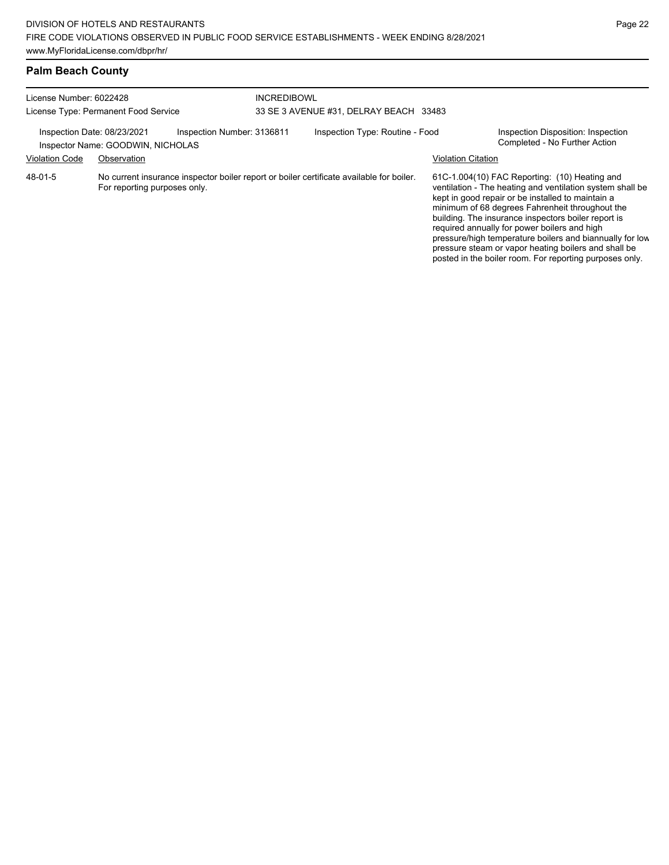pressure/high temperature boilers and biannually for low pressure steam or vapor heating boilers and shall be posted in the boiler room. For reporting purposes only.

| <b>Palm Beach County</b>             |                                                                  |                            |                                        |                                                                                          |                           |                                                                                                                                                                                                                                                                                                                           |  |  |  |
|--------------------------------------|------------------------------------------------------------------|----------------------------|----------------------------------------|------------------------------------------------------------------------------------------|---------------------------|---------------------------------------------------------------------------------------------------------------------------------------------------------------------------------------------------------------------------------------------------------------------------------------------------------------------------|--|--|--|
| License Number: 6022428              |                                                                  |                            | <b>INCREDIBOWL</b>                     |                                                                                          |                           |                                                                                                                                                                                                                                                                                                                           |  |  |  |
| License Type: Permanent Food Service |                                                                  |                            | 33 SE 3 AVENUE #31, DELRAY BEACH 33483 |                                                                                          |                           |                                                                                                                                                                                                                                                                                                                           |  |  |  |
|                                      | Inspection Date: 08/23/2021<br>Inspector Name: GOODWIN, NICHOLAS | Inspection Number: 3136811 |                                        | Inspection Type: Routine - Food                                                          |                           | Inspection Disposition: Inspection<br>Completed - No Further Action                                                                                                                                                                                                                                                       |  |  |  |
| <b>Violation Code</b>                | Observation                                                      |                            |                                        |                                                                                          | <b>Violation Citation</b> |                                                                                                                                                                                                                                                                                                                           |  |  |  |
| 48-01-5                              | For reporting purposes only.                                     |                            |                                        | No current insurance inspector boiler report or boiler certificate available for boiler. |                           | 61C-1.004(10) FAC Reporting: (10) Heating and<br>ventilation - The heating and ventilation system shall be<br>kept in good repair or be installed to maintain a<br>minimum of 68 degrees Fahrenheit throughout the<br>building. The insurance inspectors boiler report is<br>required annually for power boilers and high |  |  |  |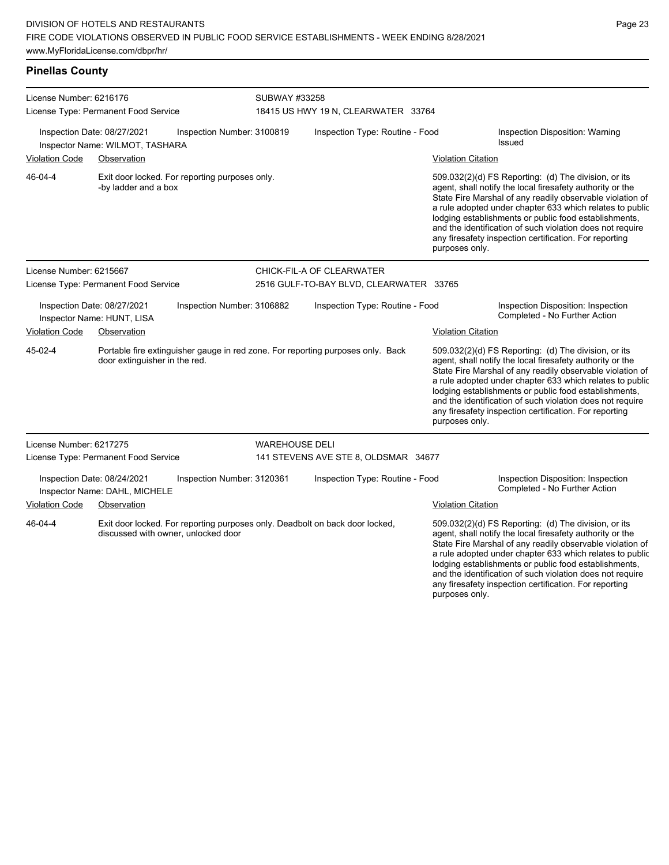| <b>Pinellas County</b>                                                                                                         |                                                                |                                                |                                                      |                                                                                 |                                                                                                                                                                                                                                                                                                     |                                                                                                                                                                                                                                                                                                                                                                                                                            |
|--------------------------------------------------------------------------------------------------------------------------------|----------------------------------------------------------------|------------------------------------------------|------------------------------------------------------|---------------------------------------------------------------------------------|-----------------------------------------------------------------------------------------------------------------------------------------------------------------------------------------------------------------------------------------------------------------------------------------------------|----------------------------------------------------------------------------------------------------------------------------------------------------------------------------------------------------------------------------------------------------------------------------------------------------------------------------------------------------------------------------------------------------------------------------|
| License Number: 6216176<br>License Type: Permanent Food Service                                                                |                                                                |                                                | SUBWAY #33258<br>18415 US HWY 19 N, CLEARWATER 33764 |                                                                                 |                                                                                                                                                                                                                                                                                                     |                                                                                                                                                                                                                                                                                                                                                                                                                            |
|                                                                                                                                | Inspection Date: 08/27/2021<br>Inspector Name: WILMOT, TASHARA | Inspection Number: 3100819                     | Inspection Type: Routine - Food                      |                                                                                 |                                                                                                                                                                                                                                                                                                     | <b>Inspection Disposition: Warning</b><br><b>Issued</b>                                                                                                                                                                                                                                                                                                                                                                    |
| <b>Violation Code</b>                                                                                                          | Observation                                                    |                                                |                                                      |                                                                                 | <b>Violation Citation</b>                                                                                                                                                                                                                                                                           |                                                                                                                                                                                                                                                                                                                                                                                                                            |
| 46-04-4                                                                                                                        | -by ladder and a box                                           | Exit door locked. For reporting purposes only. |                                                      |                                                                                 | purposes only.                                                                                                                                                                                                                                                                                      | 509.032(2)(d) FS Reporting: (d) The division, or its<br>agent, shall notify the local firesafety authority or the<br>State Fire Marshal of any readily observable violation of<br>a rule adopted under chapter 633 which relates to public<br>lodging establishments or public food establishments,<br>and the identification of such violation does not require<br>any firesafety inspection certification. For reporting |
| License Number: 6215667                                                                                                        |                                                                |                                                |                                                      | CHICK-FIL-A OF CLEARWATER                                                       |                                                                                                                                                                                                                                                                                                     |                                                                                                                                                                                                                                                                                                                                                                                                                            |
|                                                                                                                                | License Type: Permanent Food Service                           |                                                | 2516 GULF-TO-BAY BLVD, CLEARWATER 33765              |                                                                                 |                                                                                                                                                                                                                                                                                                     |                                                                                                                                                                                                                                                                                                                                                                                                                            |
|                                                                                                                                | Inspection Date: 08/27/2021<br>Inspector Name: HUNT, LISA      | Inspection Number: 3106882                     |                                                      | Inspection Type: Routine - Food                                                 |                                                                                                                                                                                                                                                                                                     | Inspection Disposition: Inspection<br>Completed - No Further Action                                                                                                                                                                                                                                                                                                                                                        |
| <b>Violation Code</b>                                                                                                          | Observation                                                    |                                                |                                                      |                                                                                 | <b>Violation Citation</b>                                                                                                                                                                                                                                                                           |                                                                                                                                                                                                                                                                                                                                                                                                                            |
| 45-02-4                                                                                                                        | door extinguisher in the red.                                  |                                                |                                                      | Portable fire extinguisher gauge in red zone. For reporting purposes only. Back | purposes only.                                                                                                                                                                                                                                                                                      | 509.032(2)(d) FS Reporting: (d) The division, or its<br>agent, shall notify the local firesafety authority or the<br>State Fire Marshal of any readily observable violation of<br>a rule adopted under chapter 633 which relates to public<br>lodging establishments or public food establishments,<br>and the identification of such violation does not require<br>any firesafety inspection certification. For reporting |
| License Number: 6217275                                                                                                        |                                                                |                                                | <b>WAREHOUSE DELI</b>                                |                                                                                 |                                                                                                                                                                                                                                                                                                     |                                                                                                                                                                                                                                                                                                                                                                                                                            |
|                                                                                                                                | License Type: Permanent Food Service                           |                                                |                                                      | 141 STEVENS AVE STE 8, OLDSMAR 34677                                            |                                                                                                                                                                                                                                                                                                     |                                                                                                                                                                                                                                                                                                                                                                                                                            |
| Inspection Date: 08/24/2021<br>Inspection Number: 3120361<br>Inspector Name: DAHL, MICHELE                                     |                                                                |                                                | Inspection Type: Routine - Food                      |                                                                                 | Inspection Disposition: Inspection<br>Completed - No Further Action                                                                                                                                                                                                                                 |                                                                                                                                                                                                                                                                                                                                                                                                                            |
| <b>Violation Code</b>                                                                                                          | Observation                                                    |                                                |                                                      |                                                                                 | <b>Violation Citation</b>                                                                                                                                                                                                                                                                           |                                                                                                                                                                                                                                                                                                                                                                                                                            |
| 46-04-4<br>Exit door locked. For reporting purposes only. Deadbolt on back door locked,<br>discussed with owner, unlocked door |                                                                |                                                |                                                      |                                                                                 | 509.032(2)(d) FS Reporting: (d) The division, or its<br>agent, shall notify the local firesafety authority or the<br>State Fire Marshal of any readily observable violation of<br>a rule adopted under chapter 633 which relates to public<br>lodging establishments or public food establishments, |                                                                                                                                                                                                                                                                                                                                                                                                                            |

and the identification of such violation does not require any firesafety inspection certification. For reporting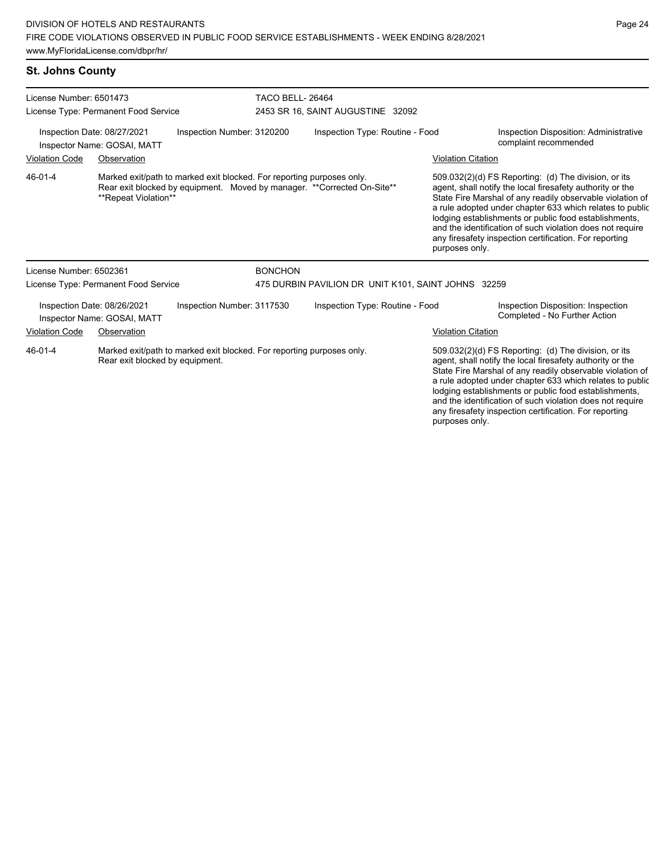### **St. Johns County**

| License Number: 6501473 | License Type: Permanent Food Service                       |                                                                       |                | <b>TACO BELL-26464</b><br>2453 SR 16, SAINT AUGUSTINE 32092             |                           |                                                                                                                                                                                                                                                                                                                                                                                                                            |  |
|-------------------------|------------------------------------------------------------|-----------------------------------------------------------------------|----------------|-------------------------------------------------------------------------|---------------------------|----------------------------------------------------------------------------------------------------------------------------------------------------------------------------------------------------------------------------------------------------------------------------------------------------------------------------------------------------------------------------------------------------------------------------|--|
|                         | Inspection Date: 08/27/2021<br>Inspector Name: GOSAI, MATT | Inspection Number: 3120200                                            |                | Inspection Type: Routine - Food                                         |                           | Inspection Disposition: Administrative<br>complaint recommended                                                                                                                                                                                                                                                                                                                                                            |  |
| <b>Violation Code</b>   | Observation                                                |                                                                       |                |                                                                         | <b>Violation Citation</b> |                                                                                                                                                                                                                                                                                                                                                                                                                            |  |
| 46-01-4                 | **Repeat Violation**                                       | Marked exit/path to marked exit blocked. For reporting purposes only. |                | Rear exit blocked by equipment. Moved by manager. **Corrected On-Site** | purposes only.            | 509.032(2)(d) FS Reporting: (d) The division, or its<br>agent, shall notify the local firesafety authority or the<br>State Fire Marshal of any readily observable violation of<br>a rule adopted under chapter 633 which relates to public<br>lodging establishments or public food establishments,<br>and the identification of such violation does not require<br>any firesafety inspection certification. For reporting |  |
| License Number: 6502361 |                                                            |                                                                       | <b>BONCHON</b> |                                                                         |                           |                                                                                                                                                                                                                                                                                                                                                                                                                            |  |
|                         | License Type: Permanent Food Service                       |                                                                       |                | 475 DURBIN PAVILION DR UNIT K101, SAINT JOHNS 32259                     |                           |                                                                                                                                                                                                                                                                                                                                                                                                                            |  |
|                         | Inspection Date: 08/26/2021<br>Inspector Name: GOSAI, MATT | Inspection Number: 3117530                                            |                | Inspection Type: Routine - Food                                         |                           | Inspection Disposition: Inspection<br>Completed - No Further Action                                                                                                                                                                                                                                                                                                                                                        |  |
| <b>Violation Code</b>   | Observation                                                |                                                                       |                |                                                                         | <b>Violation Citation</b> |                                                                                                                                                                                                                                                                                                                                                                                                                            |  |
| $46 - 01 - 4$           | Rear exit blocked by equipment.                            | Marked exit/path to marked exit blocked. For reporting purposes only. |                |                                                                         |                           | 509.032(2)(d) FS Reporting: (d) The division, or its<br>agent, shall notify the local firesafety authority or the<br>State Fire Marshal of any readily observable violation of<br>a rule adopted under chapter 633 which relates to public<br>lodging establishments or public food establishments,<br>and the identification of such violation does not require<br>any firesafety inspection certification. For reporting |  |